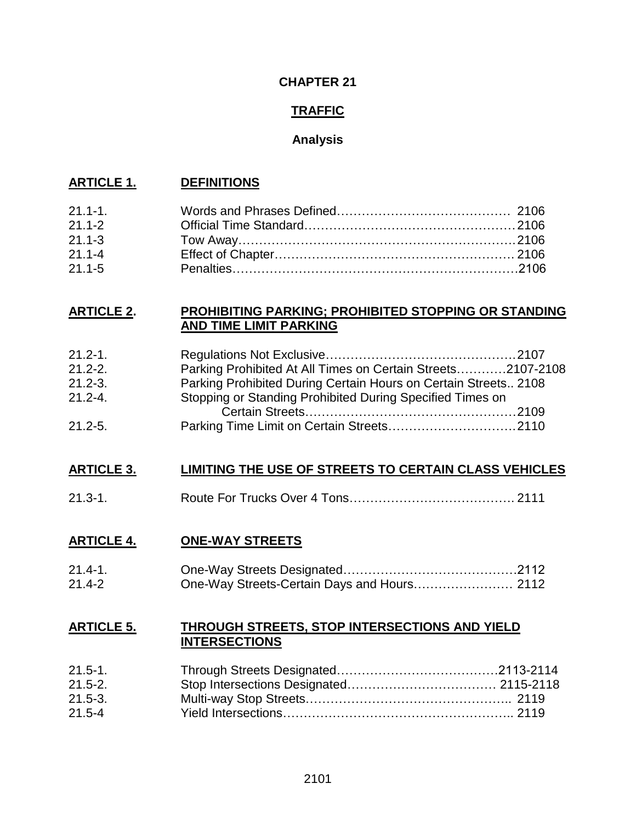### **CHAPTER 21**

### **TRAFFIC**

### **Analysis**

### **ARTICLE 1. DEFINITIONS**

| $21.1 - 1.$ |  |
|-------------|--|
| $21.1 - 2$  |  |
| $21.1 - 3$  |  |
| $21.1 - 4$  |  |
| $21.1 - 5$  |  |

### **ARTICLE 2. PROHIBITING PARKING; PROHIBITED STOPPING OR STANDING AND TIME LIMIT PARKING**

| $21.2 - 1.$ |                                                                 |  |
|-------------|-----------------------------------------------------------------|--|
| $21.2 - 2.$ | Parking Prohibited At All Times on Certain Streets2107-2108     |  |
| $21.2 - 3.$ | Parking Prohibited During Certain Hours on Certain Streets 2108 |  |
| $21.2 - 4.$ | Stopping or Standing Prohibited During Specified Times on       |  |
|             |                                                                 |  |
| $21.2 - 5.$ |                                                                 |  |

### **ARTICLE 3. LIMITING THE USE OF STREETS TO CERTAIN CLASS VEHICLES**

21.3-1. Route For Trucks Over 4 Tons…………………………………. 2111

### **ARTICLE 4. ONE-WAY STREETS**

| $21.4 - 1.$ |  |
|-------------|--|
| $21.4 - 2$  |  |

### **ARTICLE 5. THROUGH STREETS, STOP INTERSECTIONS AND YIELD INTERSECTIONS**

| $21.5 - 1.$ |  |
|-------------|--|
| $21.5 - 2.$ |  |
| $21.5 - 3.$ |  |
| $21.5 - 4$  |  |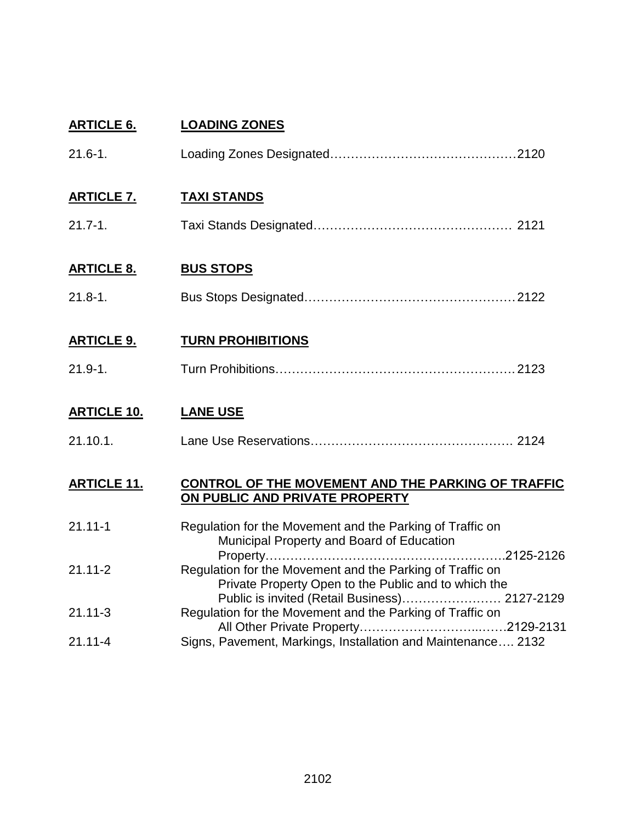| <b>ARTICLE 6.</b>  | <b>LOADING ZONES</b>                                                                                              |
|--------------------|-------------------------------------------------------------------------------------------------------------------|
| $21.6 - 1.$        |                                                                                                                   |
| <b>ARTICLE 7.</b>  | <b>TAXI STANDS</b>                                                                                                |
| $21.7 - 1.$        |                                                                                                                   |
| <b>ARTICLE 8.</b>  | <b>BUS STOPS</b>                                                                                                  |
| $21.8 - 1.$        |                                                                                                                   |
| <b>ARTICLE 9.</b>  | <b>TURN PROHIBITIONS</b>                                                                                          |
| $21.9 - 1.$        |                                                                                                                   |
| <b>ARTICLE 10.</b> | <b>LANE USE</b>                                                                                                   |
| 21.10.1.           |                                                                                                                   |
| <b>ARTICLE 11.</b> | CONTROL OF THE MOVEMENT AND THE PARKING OF TRAFFIC<br>ON PUBLIC AND PRIVATE PROPERTY                              |
| $21.11 - 1$        | Regulation for the Movement and the Parking of Traffic on<br>Municipal Property and Board of Education            |
| $21.11 - 2$        | Regulation for the Movement and the Parking of Traffic on<br>Private Property Open to the Public and to which the |
| $21.11 - 3$        | Public is invited (Retail Business) 2127-2129<br>Regulation for the Movement and the Parking of Traffic on        |
| $21.11 - 4$        | Signs, Pavement, Markings, Installation and Maintenance 2132                                                      |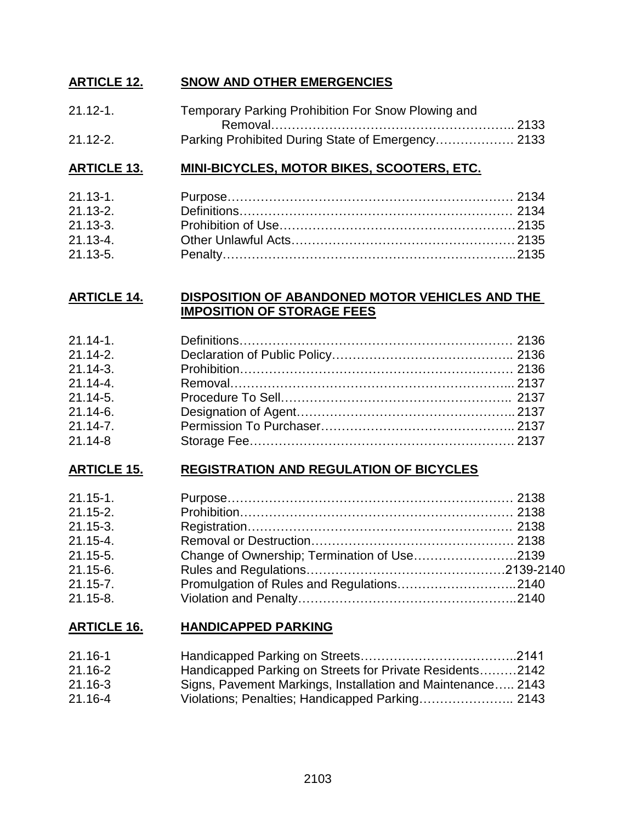### **ARTICLE 12. SNOW AND OTHER EMERGENCIES**

| $21.12 - 1.$ | Temporary Parking Prohibition For Snow Plowing and |  |
|--------------|----------------------------------------------------|--|
|              |                                                    |  |
| $21.12 - 2.$ |                                                    |  |

### **ARTICLE 13. MINI-BICYCLES, MOTOR BIKES, SCOOTERS, ETC.**

| $21.13 - 1.$ |  |
|--------------|--|
| $21.13 - 2.$ |  |
| $21.13 - 3.$ |  |
| $21.13 - 4.$ |  |
| $21.13 - 5.$ |  |

### **ARTICLE 14. DISPOSITION OF ABANDONED MOTOR VEHICLES AND THE IMPOSITION OF STORAGE FEES**

| $21.14 - 1.$ |  |
|--------------|--|
| $21.14 - 2.$ |  |
| $21.14 - 3.$ |  |
| $21.14 - 4.$ |  |
| $21.14 - 5.$ |  |
| $21.14 - 6.$ |  |
| $21.14 - 7.$ |  |
| $21.14 - 8$  |  |

### **ARTICLE 15. REGISTRATION AND REGULATION OF BICYCLES**

| $21.15 - 1.$ |                                             |  |
|--------------|---------------------------------------------|--|
| $21.15 - 2.$ |                                             |  |
| $21.15 - 3.$ |                                             |  |
| $21.15 - 4.$ |                                             |  |
| $21.15 - 5.$ | Change of Ownership; Termination of Use2139 |  |
| $21.15 - 6.$ |                                             |  |
| $21.15 - 7.$ |                                             |  |
| $21.15 - 8.$ |                                             |  |

### **ARTICLE 16. HANDICAPPED PARKING**

| $21.16 - 1$ |                                                             |
|-------------|-------------------------------------------------------------|
| $21.16 - 2$ | Handicapped Parking on Streets for Private Residents2142    |
| $21.16 - 3$ | Signs, Pavement Markings, Installation and Maintenance 2143 |
| 21.16-4     | Violations; Penalties; Handicapped Parking 2143             |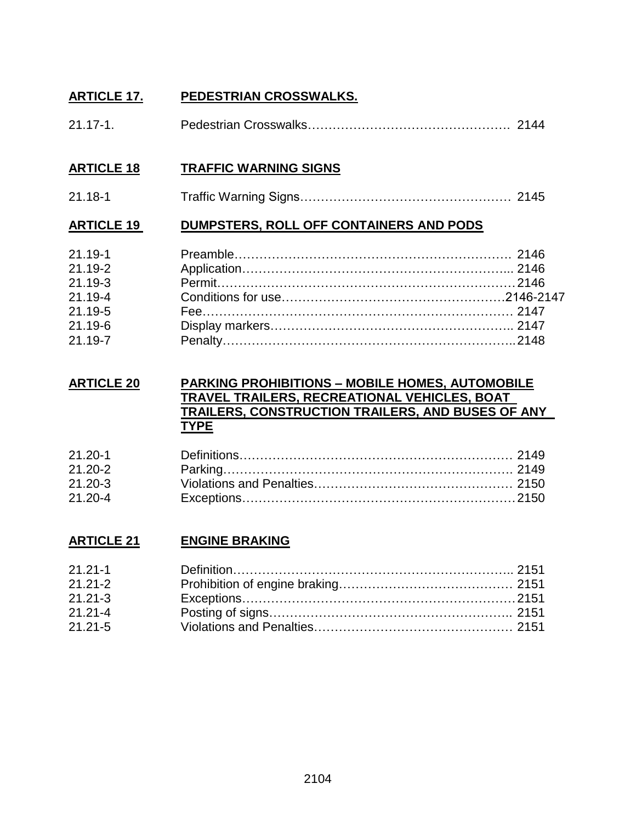### **ARTICLE 17. PEDESTRIAN CROSSWALKS.**

| $21.17 - 1.$ |  |
|--------------|--|
|              |  |

### **ARTICLE 18 TRAFFIC WARNING SIGNS**

21.18-1 Traffic Warning Signs…………………………………………… 2145

### **ARTICLE 19 DUMPSTERS, ROLL OFF CONTAINERS AND PODS**

| $21.19 - 1$ |  |
|-------------|--|
| $21.19 - 2$ |  |
| 21.19-3     |  |
| 21.19-4     |  |
| 21.19-5     |  |
| $21.19 - 6$ |  |
| 21.19-7     |  |

### **ARTICLE 20 PARKING PROHIBITIONS – MOBILE HOMES, AUTOMOBILE TRAVEL TRAILERS, RECREATIONAL VEHICLES, BOAT TRAILERS, CONSTRUCTION TRAILERS, AND BUSES OF ANY TYPE**

| $21.20 - 1$ |  |
|-------------|--|
| $21.20 - 2$ |  |
| $21.20 - 3$ |  |
| $21.20 - 4$ |  |

### **ARTICLE 21 ENGINE BRAKING**

| $21.21 - 1$ |  |
|-------------|--|
| $21.21 - 2$ |  |
| $21.21 - 3$ |  |
| $21.21 - 4$ |  |
| $21.21 - 5$ |  |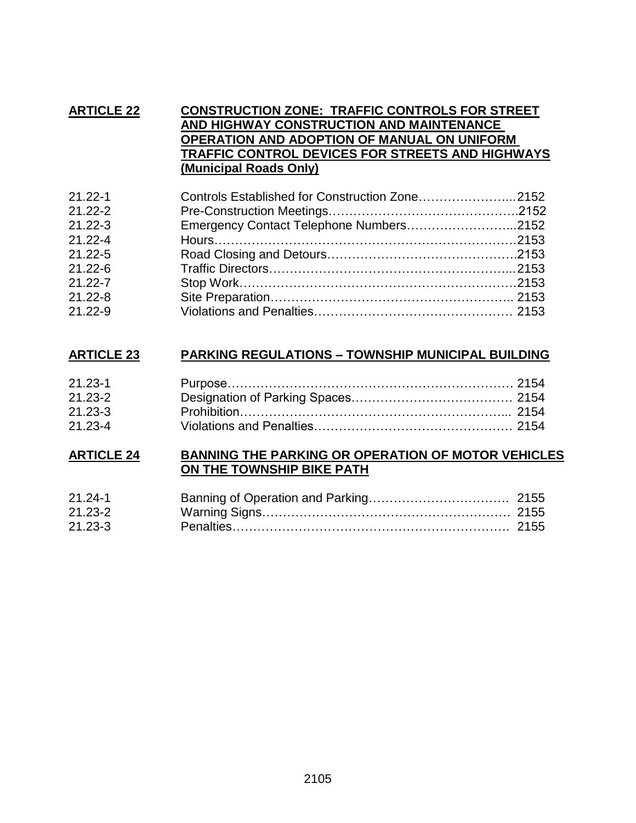### **ARTICLE 22 CONSTRUCTION ZONE: TRAFFIC CONTROLS FOR STREET AND HIGHWAY CONSTRUCTION AND MAINTENANCE OPERATION AND ADOPTION OF MANUAL ON UNIFORM TRAFFIC CONTROL DEVICES FOR STREETS AND HIGHWAYS (Municipal Roads Only)**

| $21.22 - 1$ | Controls Established for Construction Zone2152 |  |
|-------------|------------------------------------------------|--|
| $21.22 - 2$ |                                                |  |
| $21.22 - 3$ | Emergency Contact Telephone Numbers2152        |  |
| $21.22 - 4$ |                                                |  |
| $21.22 - 5$ |                                                |  |
| $21.22 - 6$ |                                                |  |
| $21.22 - 7$ |                                                |  |
| $21.22 - 8$ |                                                |  |
| $21.22 - 9$ |                                                |  |

### **ARTICLE 23 PARKING REGULATIONS – TOWNSHIP MUNICIPAL BUILDING**

| $21.23 - 1$ |  |
|-------------|--|
| $21.23 - 2$ |  |
| $21.23 - 3$ |  |
| $21.23 - 4$ |  |

### **ARTICLE 24 BANNING THE PARKING OR OPERATION OF MOTOR VEHICLES ON THE TOWNSHIP BIKE PATH**

| $21.24 - 1$ |  |
|-------------|--|
| $21.23 - 2$ |  |
| $21.23 - 3$ |  |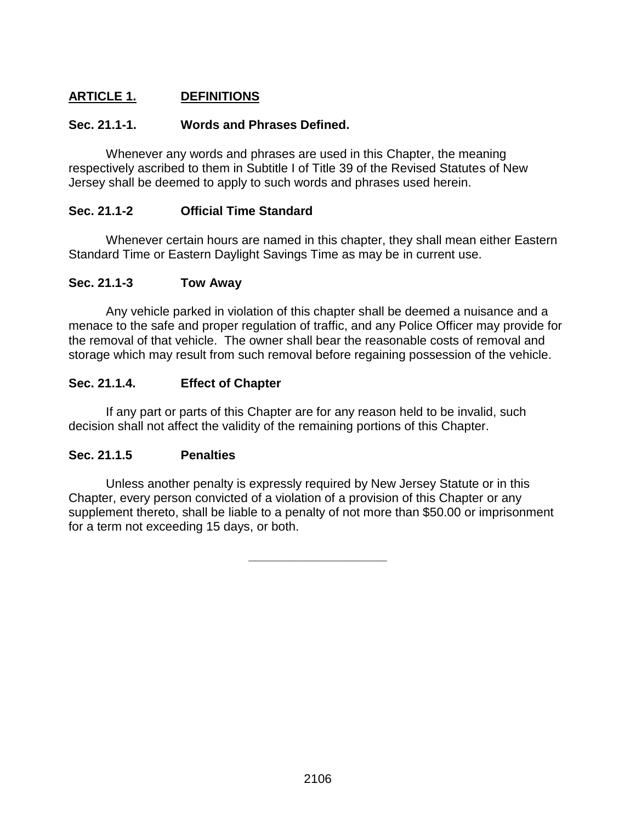## **ARTICLE 1. DEFINITIONS**

### **Sec. 21.1-1. Words and Phrases Defined.**

Whenever any words and phrases are used in this Chapter, the meaning respectively ascribed to them in Subtitle I of Title 39 of the Revised Statutes of New Jersey shall be deemed to apply to such words and phrases used herein.

### **Sec. 21.1-2 Official Time Standard**

Whenever certain hours are named in this chapter, they shall mean either Eastern Standard Time or Eastern Daylight Savings Time as may be in current use.

### **Sec. 21.1-3 Tow Away**

Any vehicle parked in violation of this chapter shall be deemed a nuisance and a menace to the safe and proper regulation of traffic, and any Police Officer may provide for the removal of that vehicle. The owner shall bear the reasonable costs of removal and storage which may result from such removal before regaining possession of the vehicle.

### **Sec. 21.1.4. Effect of Chapter**

If any part or parts of this Chapter are for any reason held to be invalid, such decision shall not affect the validity of the remaining portions of this Chapter.

### **Sec. 21.1.5 Penalties**

Unless another penalty is expressly required by New Jersey Statute or in this Chapter, every person convicted of a violation of a provision of this Chapter or any supplement thereto, shall be liable to a penalty of not more than \$50.00 or imprisonment for a term not exceeding 15 days, or both.

**\_\_\_\_\_\_\_\_\_\_\_\_\_\_\_\_\_\_\_\_**

2106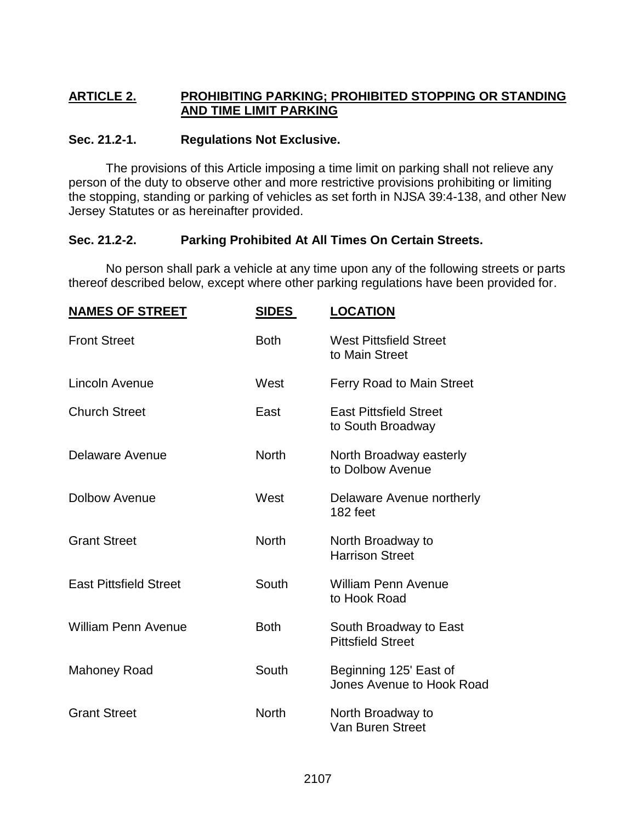### **ARTICLE 2. PROHIBITING PARKING; PROHIBITED STOPPING OR STANDING AND TIME LIMIT PARKING**

### **Sec. 21.2-1. Regulations Not Exclusive.**

The provisions of this Article imposing a time limit on parking shall not relieve any person of the duty to observe other and more restrictive provisions prohibiting or limiting the stopping, standing or parking of vehicles as set forth in NJSA 39:4-138, and other New Jersey Statutes or as hereinafter provided.

### **Sec. 21.2-2. Parking Prohibited At All Times On Certain Streets.**

No person shall park a vehicle at any time upon any of the following streets or parts thereof described below, except where other parking regulations have been provided for.

| <b>NAMES OF STREET</b>        | <u>SIDES</u> | <b>LOCATION</b>                                     |
|-------------------------------|--------------|-----------------------------------------------------|
| <b>Front Street</b>           | <b>Both</b>  | <b>West Pittsfield Street</b><br>to Main Street     |
| Lincoln Avenue                | West         | Ferry Road to Main Street                           |
| <b>Church Street</b>          | East         | <b>East Pittsfield Street</b><br>to South Broadway  |
| Delaware Avenue               | <b>North</b> | North Broadway easterly<br>to Dolbow Avenue         |
| <b>Dolbow Avenue</b>          | West         | Delaware Avenue northerly<br>182 feet               |
| <b>Grant Street</b>           | <b>North</b> | North Broadway to<br><b>Harrison Street</b>         |
| <b>East Pittsfield Street</b> | South        | <b>William Penn Avenue</b><br>to Hook Road          |
| <b>William Penn Avenue</b>    | <b>Both</b>  | South Broadway to East<br><b>Pittsfield Street</b>  |
| <b>Mahoney Road</b>           | South        | Beginning 125' East of<br>Jones Avenue to Hook Road |
| <b>Grant Street</b>           | <b>North</b> | North Broadway to<br><b>Van Buren Street</b>        |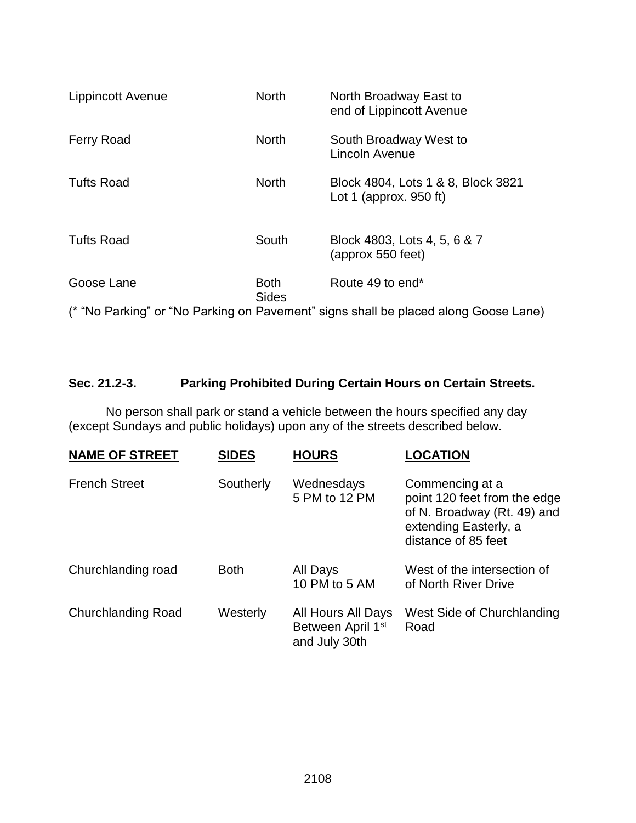| <b>Lippincott Avenue</b> | <b>North</b>                | North Broadway East to<br>end of Lippincott Avenue                                  |
|--------------------------|-----------------------------|-------------------------------------------------------------------------------------|
| <b>Ferry Road</b>        | <b>North</b>                | South Broadway West to<br>Lincoln Avenue                                            |
| <b>Tufts Road</b>        | <b>North</b>                | Block 4804, Lots 1 & 8, Block 3821<br>Lot 1 (approx. $950$ ft)                      |
| <b>Tufts Road</b>        | South                       | Block 4803, Lots 4, 5, 6 & 7<br>(approx 550 feet)                                   |
| Goose Lane               | <b>Both</b><br><b>Sides</b> | Route 49 to end*                                                                    |
|                          |                             | (* "No Parking" or "No Parking on Pavement" signs shall be placed along Goose Lane) |

## **Sec. 21.2-3. Parking Prohibited During Certain Hours on Certain Streets.**

No person shall park or stand a vehicle between the hours specified any day (except Sundays and public holidays) upon any of the streets described below.

| <b>NAME OF STREET</b>     | <b>SIDES</b> | <b>HOURS</b>                                                         | <b>LOCATION</b>                                                                                                                |
|---------------------------|--------------|----------------------------------------------------------------------|--------------------------------------------------------------------------------------------------------------------------------|
| <b>French Street</b>      | Southerly    | Wednesdays<br>5 PM to 12 PM                                          | Commencing at a<br>point 120 feet from the edge<br>of N. Broadway (Rt. 49) and<br>extending Easterly, a<br>distance of 85 feet |
| Churchlanding road        | <b>Both</b>  | All Days<br>10 PM to 5 AM                                            | West of the intersection of<br>of North River Drive                                                                            |
| <b>Churchlanding Road</b> | Westerly     | All Hours All Days<br>Between April 1 <sup>st</sup><br>and July 30th | West Side of Churchlanding<br>Road                                                                                             |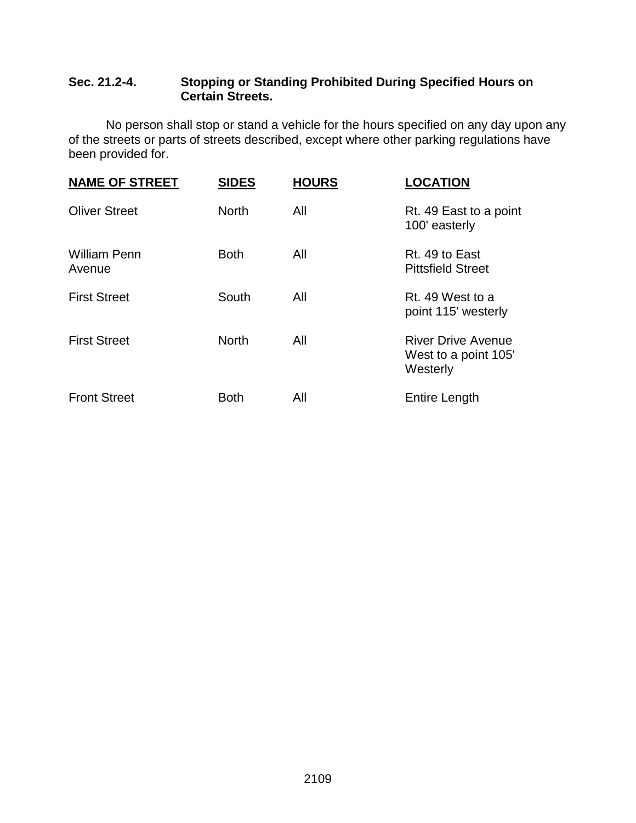### **Sec. 21.2-4. Stopping or Standing Prohibited During Specified Hours on Certain Streets.**

No person shall stop or stand a vehicle for the hours specified on any day upon any of the streets or parts of streets described, except where other parking regulations have been provided for.

| <b>NAME OF STREET</b>         | <b>SIDES</b> | <b>HOURS</b> | <b>LOCATION</b>                                               |
|-------------------------------|--------------|--------------|---------------------------------------------------------------|
| <b>Oliver Street</b>          | <b>North</b> | All          | Rt. 49 East to a point<br>100' easterly                       |
| <b>William Penn</b><br>Avenue | <b>Both</b>  | All          | Rt. 49 to East<br><b>Pittsfield Street</b>                    |
| <b>First Street</b>           | South        | All          | Rt. 49 West to a<br>point 115' westerly                       |
| <b>First Street</b>           | <b>North</b> | All          | <b>River Drive Avenue</b><br>West to a point 105'<br>Westerly |
| <b>Front Street</b>           | <b>Both</b>  | All          | <b>Entire Length</b>                                          |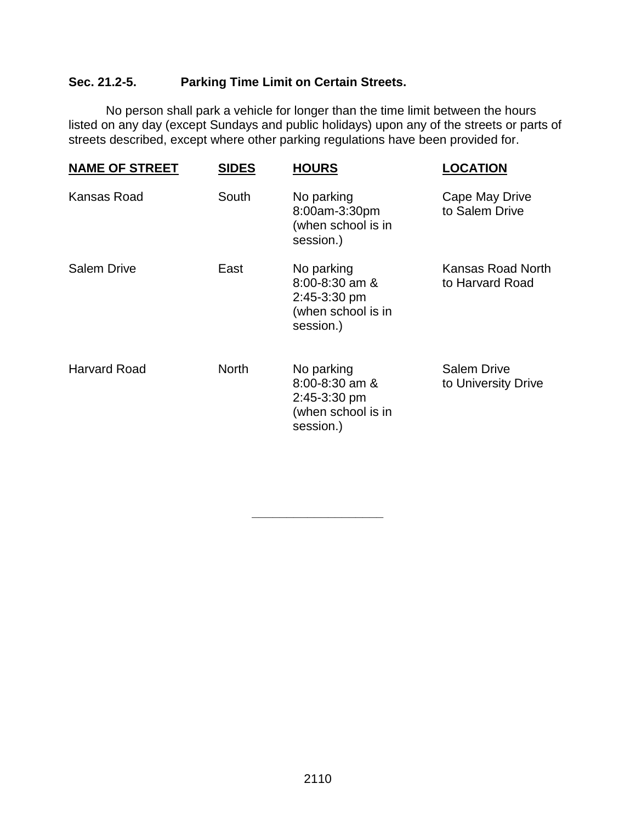## **Sec. 21.2-5. Parking Time Limit on Certain Streets.**

No person shall park a vehicle for longer than the time limit between the hours listed on any day (except Sundays and public holidays) upon any of the streets or parts of streets described, except where other parking regulations have been provided for.

| <b>NAME OF STREET</b> | <b>SIDES</b> | <b>HOURS</b>                                                                        | <b>LOCATION</b>                           |
|-----------------------|--------------|-------------------------------------------------------------------------------------|-------------------------------------------|
| Kansas Road           | South        | No parking<br>8:00am-3:30pm<br>(when school is in<br>session.)                      | Cape May Drive<br>to Salem Drive          |
| <b>Salem Drive</b>    | East         | No parking<br>$8:00 - 8:30$ am &<br>2:45-3:30 pm<br>(when school is in<br>session.) | Kansas Road North<br>to Harvard Road      |
| <b>Harvard Road</b>   | <b>North</b> | No parking<br>$8:00 - 8:30$ am &<br>2:45-3:30 pm<br>(when school is in<br>session.) | <b>Salem Drive</b><br>to University Drive |

**\_\_\_\_\_\_\_\_\_\_\_\_\_\_\_\_\_\_\_**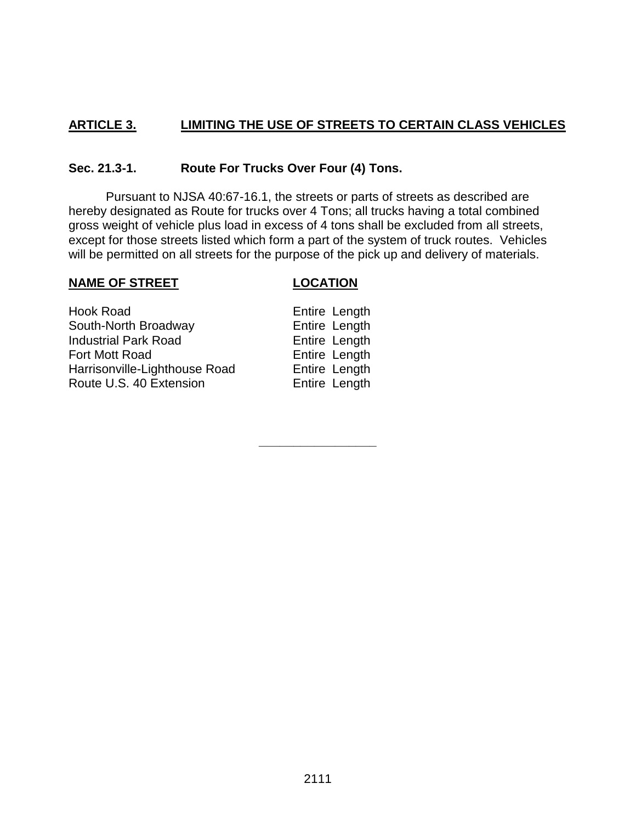### **ARTICLE 3. LIMITING THE USE OF STREETS TO CERTAIN CLASS VEHICLES**

### **Sec. 21.3-1. Route For Trucks Over Four (4) Tons.**

Pursuant to NJSA 40:67-16.1, the streets or parts of streets as described are hereby designated as Route for trucks over 4 Tons; all trucks having a total combined gross weight of vehicle plus load in excess of 4 tons shall be excluded from all streets, except for those streets listed which form a part of the system of truck routes. Vehicles will be permitted on all streets for the purpose of the pick up and delivery of materials.

### **NAME OF STREET LOCATION**

**\_\_\_\_\_\_\_\_\_\_\_\_\_\_\_\_\_**

| Hook Road                     | Entire Length |
|-------------------------------|---------------|
| South-North Broadway          | Entire Length |
| <b>Industrial Park Road</b>   | Entire Length |
| Fort Mott Road                | Entire Length |
| Harrisonville-Lighthouse Road | Entire Length |
| Route U.S. 40 Extension       | Entire Length |
|                               |               |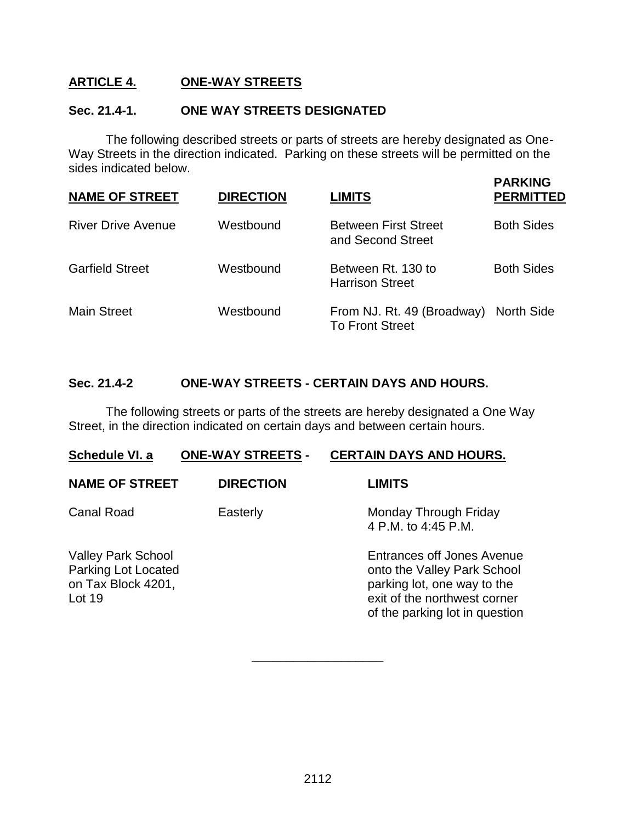### **ARTICLE 4. ONE-WAY STREETS**

### **Sec. 21.4-1. ONE WAY STREETS DESIGNATED**

The following described streets or parts of streets are hereby designated as One-Way Streets in the direction indicated. Parking on these streets will be permitted on the sides indicated below.

 **PARKING**

| <b>NAME OF STREET</b>     | <b>DIRECTION</b> | LIMITS                                                          | . <i>F</i> unde<br><b>PERMITTED</b> |
|---------------------------|------------------|-----------------------------------------------------------------|-------------------------------------|
| <b>River Drive Avenue</b> | Westbound        | <b>Between First Street</b><br>and Second Street                | <b>Both Sides</b>                   |
| <b>Garfield Street</b>    | Westbound        | Between Rt. 130 to<br><b>Harrison Street</b>                    | <b>Both Sides</b>                   |
| <b>Main Street</b>        | Westbound        | From NJ. Rt. 49 (Broadway) North Side<br><b>To Front Street</b> |                                     |

### **Sec. 21.4-2 ONE-WAY STREETS - CERTAIN DAYS AND HOURS.**

The following streets or parts of the streets are hereby designated a One Way Street, in the direction indicated on certain days and between certain hours.

| Schedule VI. a                                                                   | <b>ONE-WAY STREETS -</b> | <b>CERTAIN DAYS AND HOURS.</b>                                                                                                                             |
|----------------------------------------------------------------------------------|--------------------------|------------------------------------------------------------------------------------------------------------------------------------------------------------|
| <b>NAME OF STREET</b>                                                            | <b>DIRECTION</b>         | <b>LIMITS</b>                                                                                                                                              |
| <b>Canal Road</b>                                                                | Easterly                 | Monday Through Friday<br>4 P.M. to 4:45 P.M.                                                                                                               |
| <b>Valley Park School</b><br>Parking Lot Located<br>on Tax Block 4201,<br>Lot 19 |                          | Entrances off Jones Avenue<br>onto the Valley Park School<br>parking lot, one way to the<br>exit of the northwest corner<br>of the parking lot in question |

**\_\_\_\_\_\_\_\_\_\_\_\_\_\_\_\_\_\_\_**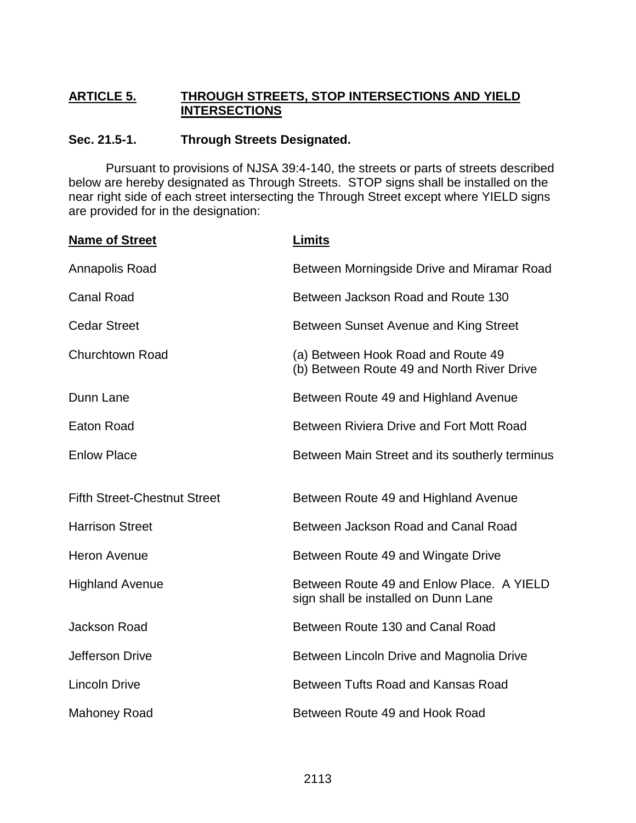### **ARTICLE 5. THROUGH STREETS, STOP INTERSECTIONS AND YIELD INTERSECTIONS**

### **Sec. 21.5-1. Through Streets Designated.**

Pursuant to provisions of NJSA 39:4-140, the streets or parts of streets described below are hereby designated as Through Streets. STOP signs shall be installed on the near right side of each street intersecting the Through Street except where YIELD signs are provided for in the designation:

| <b>Name of Street</b>               | <b>Limits</b>                                                                     |  |
|-------------------------------------|-----------------------------------------------------------------------------------|--|
| Annapolis Road                      | Between Morningside Drive and Miramar Road                                        |  |
| <b>Canal Road</b>                   | Between Jackson Road and Route 130                                                |  |
| <b>Cedar Street</b>                 | Between Sunset Avenue and King Street                                             |  |
| Churchtown Road                     | (a) Between Hook Road and Route 49<br>(b) Between Route 49 and North River Drive  |  |
| Dunn Lane                           | Between Route 49 and Highland Avenue                                              |  |
| Eaton Road                          | Between Riviera Drive and Fort Mott Road                                          |  |
| <b>Enlow Place</b>                  | Between Main Street and its southerly terminus                                    |  |
| <b>Fifth Street-Chestnut Street</b> | Between Route 49 and Highland Avenue                                              |  |
| <b>Harrison Street</b>              | Between Jackson Road and Canal Road                                               |  |
| <b>Heron Avenue</b>                 | Between Route 49 and Wingate Drive                                                |  |
| <b>Highland Avenue</b>              | Between Route 49 and Enlow Place, A YIELD<br>sign shall be installed on Dunn Lane |  |
| <b>Jackson Road</b>                 | Between Route 130 and Canal Road                                                  |  |
| Jefferson Drive                     | Between Lincoln Drive and Magnolia Drive                                          |  |
| <b>Lincoln Drive</b>                | Between Tufts Road and Kansas Road                                                |  |
| <b>Mahoney Road</b>                 | Between Route 49 and Hook Road                                                    |  |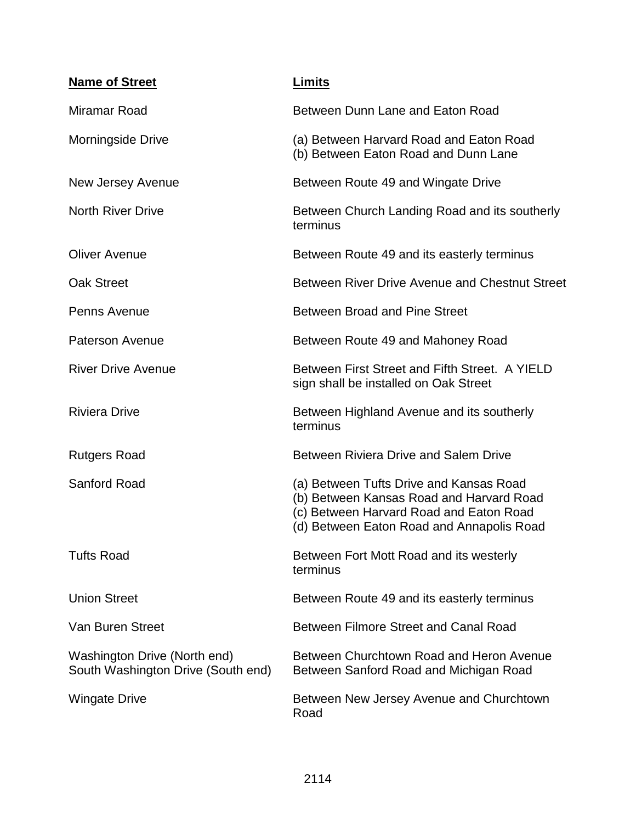| <b>Name of Street</b>                                              | <u>Limits</u>                                                                                                                                                               |  |
|--------------------------------------------------------------------|-----------------------------------------------------------------------------------------------------------------------------------------------------------------------------|--|
| Miramar Road                                                       | Between Dunn Lane and Eaton Road                                                                                                                                            |  |
| Morningside Drive                                                  | (a) Between Harvard Road and Eaton Road<br>(b) Between Eaton Road and Dunn Lane                                                                                             |  |
| New Jersey Avenue                                                  | Between Route 49 and Wingate Drive                                                                                                                                          |  |
| <b>North River Drive</b>                                           | Between Church Landing Road and its southerly<br>terminus                                                                                                                   |  |
| <b>Oliver Avenue</b>                                               | Between Route 49 and its easterly terminus                                                                                                                                  |  |
| <b>Oak Street</b>                                                  | Between River Drive Avenue and Chestnut Street                                                                                                                              |  |
| Penns Avenue                                                       | <b>Between Broad and Pine Street</b>                                                                                                                                        |  |
| <b>Paterson Avenue</b>                                             | Between Route 49 and Mahoney Road                                                                                                                                           |  |
| <b>River Drive Avenue</b>                                          | Between First Street and Fifth Street. A YIELD<br>sign shall be installed on Oak Street                                                                                     |  |
| <b>Riviera Drive</b>                                               | Between Highland Avenue and its southerly<br>terminus                                                                                                                       |  |
| <b>Rutgers Road</b>                                                | <b>Between Riviera Drive and Salem Drive</b>                                                                                                                                |  |
| Sanford Road                                                       | (a) Between Tufts Drive and Kansas Road<br>(b) Between Kansas Road and Harvard Road<br>(c) Between Harvard Road and Eaton Road<br>(d) Between Eaton Road and Annapolis Road |  |
| <b>Tufts Road</b>                                                  | Between Fort Mott Road and its westerly<br>terminus                                                                                                                         |  |
| <b>Union Street</b>                                                | Between Route 49 and its easterly terminus                                                                                                                                  |  |
| Van Buren Street                                                   | Between Filmore Street and Canal Road                                                                                                                                       |  |
| Washington Drive (North end)<br>South Washington Drive (South end) | Between Churchtown Road and Heron Avenue<br>Between Sanford Road and Michigan Road                                                                                          |  |
| <b>Wingate Drive</b>                                               | Between New Jersey Avenue and Churchtown<br>Road                                                                                                                            |  |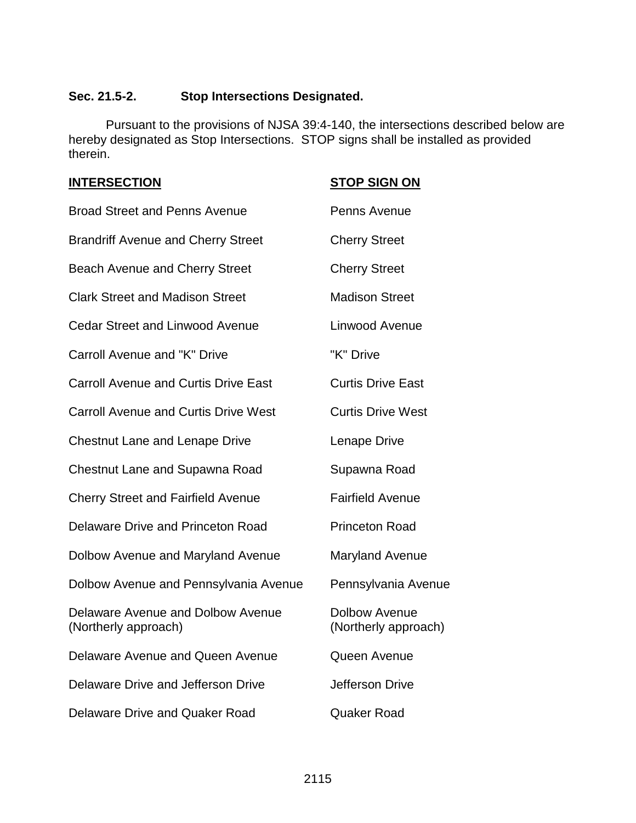### **Sec. 21.5-2. Stop Intersections Designated.**

Pursuant to the provisions of NJSA 39:4-140, the intersections described below are hereby designated as Stop Intersections. STOP signs shall be installed as provided therein.

| <b>INTERSECTION</b>                                       | <b>STOP SIGN ON</b>                          |
|-----------------------------------------------------------|----------------------------------------------|
| <b>Broad Street and Penns Avenue</b>                      | Penns Avenue                                 |
| <b>Brandriff Avenue and Cherry Street</b>                 | <b>Cherry Street</b>                         |
| <b>Beach Avenue and Cherry Street</b>                     | <b>Cherry Street</b>                         |
| <b>Clark Street and Madison Street</b>                    | <b>Madison Street</b>                        |
| <b>Cedar Street and Linwood Avenue</b>                    | Linwood Avenue                               |
| Carroll Avenue and "K" Drive                              | "K" Drive                                    |
| <b>Carroll Avenue and Curtis Drive East</b>               | <b>Curtis Drive East</b>                     |
| <b>Carroll Avenue and Curtis Drive West</b>               | <b>Curtis Drive West</b>                     |
| <b>Chestnut Lane and Lenape Drive</b>                     | Lenape Drive                                 |
| <b>Chestnut Lane and Supawna Road</b>                     | Supawna Road                                 |
| <b>Cherry Street and Fairfield Avenue</b>                 | <b>Fairfield Avenue</b>                      |
| <b>Delaware Drive and Princeton Road</b>                  | <b>Princeton Road</b>                        |
| Dolbow Avenue and Maryland Avenue                         | <b>Maryland Avenue</b>                       |
| Dolbow Avenue and Pennsylvania Avenue                     | Pennsylvania Avenue                          |
| Delaware Avenue and Dolbow Avenue<br>(Northerly approach) | <b>Dolbow Avenue</b><br>(Northerly approach) |
| Delaware Avenue and Queen Avenue                          | Queen Avenue                                 |
| Delaware Drive and Jefferson Drive                        | Jefferson Drive                              |
| Delaware Drive and Quaker Road                            | <b>Quaker Road</b>                           |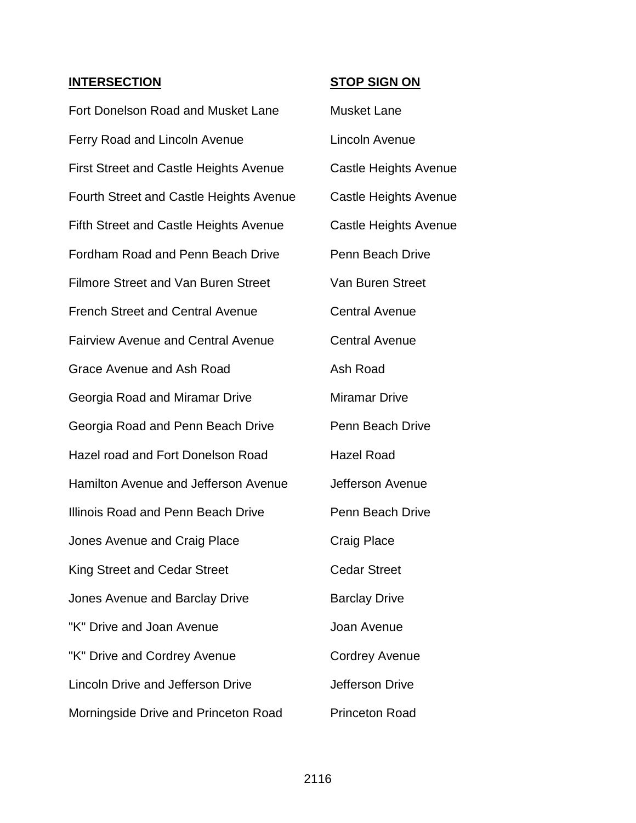**INTERSECTION STOP SIGN ON**

Fort Donelson Road and Musket Lane Musket Lane Ferry Road and Lincoln Avenue **Lincoln Avenue** First Street and Castle Heights Avenue Castle Heights Avenue Fourth Street and Castle Heights Avenue Castle Heights Avenue Fifth Street and Castle Heights Avenue Castle Heights Avenue Fordham Road and Penn Beach Drive Penn Beach Drive Filmore Street and Van Buren Street Van Buren Street French Street and Central Avenue Central Avenue Fairview Avenue and Central Avenue Central Avenue Grace Avenue and Ash Road **Ash Road** Ash Road Georgia Road and Miramar Drive Miramar Drive Georgia Road and Penn Beach Drive Penn Beach Drive Hazel road and Fort Donelson Road Hazel Road Hamilton Avenue and Jefferson Avenue Jefferson Avenue Illinois Road and Penn Beach Drive **Penn Beach Drive** Jones Avenue and Craig Place Craig Place King Street and Cedar Street Cedar Street Jones Avenue and Barclay Drive **Barclay Drive** "K" Drive and Joan Avenue **Frankling** Joan Avenue "K" Drive and Cordrey Avenue Cordrey Avenue Lincoln Drive and Jefferson Drive Jefferson Drive Morningside Drive and Princeton Road Princeton Road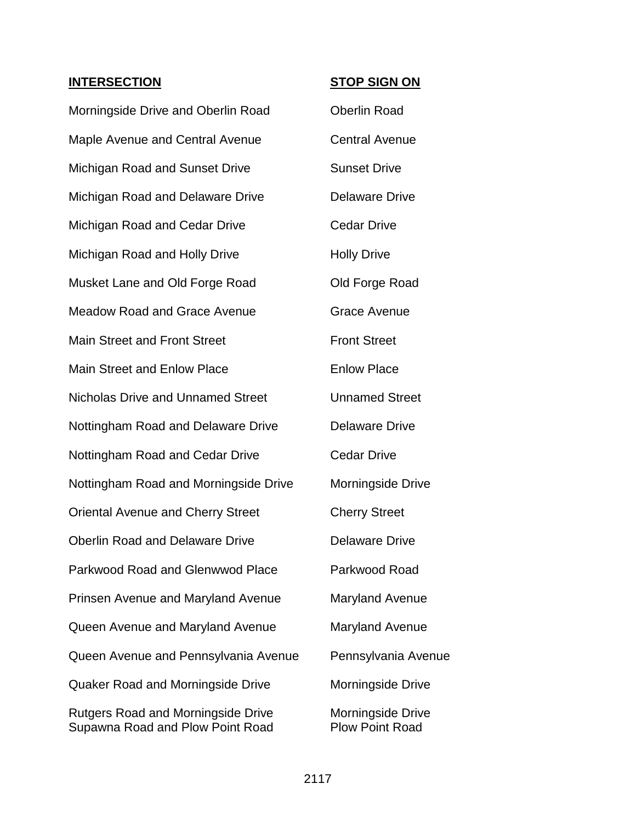### **INTERSECTION STOP SIGN ON**

| Morningside Drive and Oberlin Road                                            | <b>Oberlin Road</b>                         |
|-------------------------------------------------------------------------------|---------------------------------------------|
| Maple Avenue and Central Avenue                                               | <b>Central Avenue</b>                       |
| Michigan Road and Sunset Drive                                                | <b>Sunset Drive</b>                         |
| Michigan Road and Delaware Drive                                              | <b>Delaware Drive</b>                       |
| Michigan Road and Cedar Drive                                                 | <b>Cedar Drive</b>                          |
| Michigan Road and Holly Drive                                                 | <b>Holly Drive</b>                          |
| Musket Lane and Old Forge Road                                                | Old Forge Road                              |
| <b>Meadow Road and Grace Avenue</b>                                           | <b>Grace Avenue</b>                         |
| <b>Main Street and Front Street</b>                                           | <b>Front Street</b>                         |
| <b>Main Street and Enlow Place</b>                                            | <b>Enlow Place</b>                          |
| <b>Nicholas Drive and Unnamed Street</b>                                      | <b>Unnamed Street</b>                       |
| Nottingham Road and Delaware Drive                                            | <b>Delaware Drive</b>                       |
| Nottingham Road and Cedar Drive                                               | <b>Cedar Drive</b>                          |
| Nottingham Road and Morningside Drive                                         | Morningside Drive                           |
| <b>Oriental Avenue and Cherry Street</b>                                      | <b>Cherry Street</b>                        |
| <b>Oberlin Road and Delaware Drive</b>                                        | <b>Delaware Drive</b>                       |
| Parkwood Road and Glenwwod Place                                              | Parkwood Road                               |
| Prinsen Avenue and Maryland Avenue                                            | <b>Maryland Avenue</b>                      |
| Queen Avenue and Maryland Avenue                                              | <b>Maryland Avenue</b>                      |
| Queen Avenue and Pennsylvania Avenue                                          | Pennsylvania Avenue                         |
| <b>Quaker Road and Morningside Drive</b>                                      | Morningside Drive                           |
| <b>Rutgers Road and Morningside Drive</b><br>Supawna Road and Plow Point Road | Morningside Drive<br><b>Plow Point Road</b> |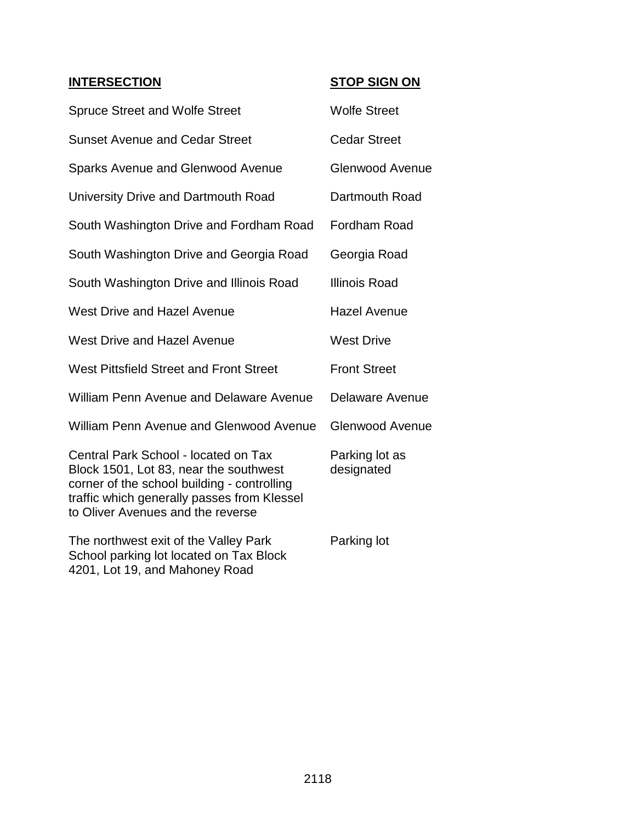### **INTERSECTION STOP SIGN ON**

| <b>Spruce Street and Wolfe Street</b>                                                                                                                                                                             | <b>Wolfe Street</b>          |
|-------------------------------------------------------------------------------------------------------------------------------------------------------------------------------------------------------------------|------------------------------|
| <b>Sunset Avenue and Cedar Street</b>                                                                                                                                                                             | <b>Cedar Street</b>          |
| <b>Sparks Avenue and Glenwood Avenue</b>                                                                                                                                                                          | <b>Glenwood Avenue</b>       |
| University Drive and Dartmouth Road                                                                                                                                                                               | Dartmouth Road               |
| South Washington Drive and Fordham Road                                                                                                                                                                           | <b>Fordham Road</b>          |
| South Washington Drive and Georgia Road                                                                                                                                                                           | Georgia Road                 |
| South Washington Drive and Illinois Road                                                                                                                                                                          | <b>Illinois Road</b>         |
| <b>West Drive and Hazel Avenue</b>                                                                                                                                                                                | <b>Hazel Avenue</b>          |
| <b>West Drive and Hazel Avenue</b>                                                                                                                                                                                | <b>West Drive</b>            |
| West Pittsfield Street and Front Street                                                                                                                                                                           | <b>Front Street</b>          |
| <b>William Penn Avenue and Delaware Avenue</b>                                                                                                                                                                    | Delaware Avenue              |
| <b>William Penn Avenue and Glenwood Avenue</b>                                                                                                                                                                    | <b>Glenwood Avenue</b>       |
| Central Park School - located on Tax<br>Block 1501, Lot 83, near the southwest<br>corner of the school building - controlling<br>traffic which generally passes from Klessel<br>to Oliver Avenues and the reverse | Parking lot as<br>designated |
| The northwest exit of the Valley Park<br>School parking lot located on Tax Block<br>4201, Lot 19, and Mahoney Road                                                                                                | Parking lot                  |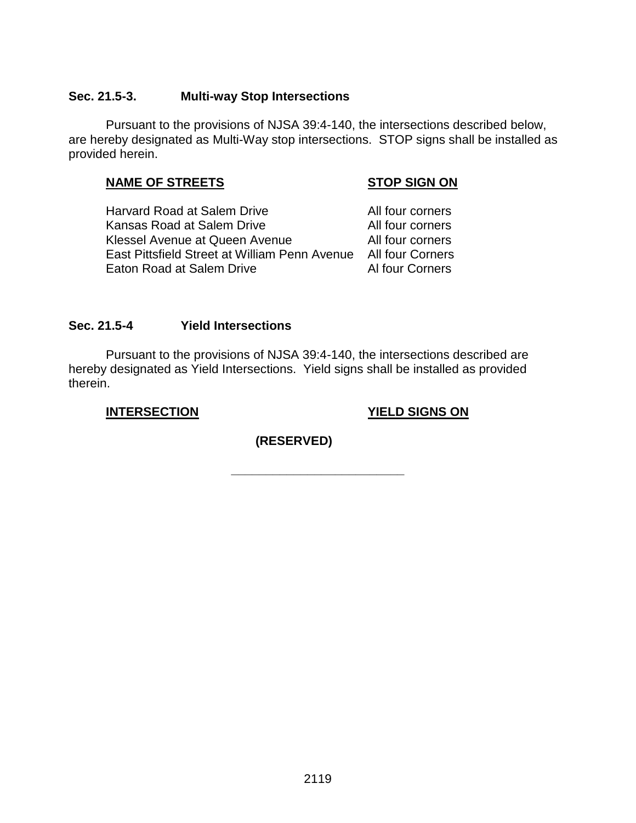### **Sec. 21.5-3. Multi-way Stop Intersections**

Pursuant to the provisions of NJSA 39:4-140, the intersections described below, are hereby designated as Multi-Way stop intersections. STOP signs shall be installed as provided herein.

### **NAME OF STREETS STOP SIGN ON**

Harvard Road at Salem Drive **All four corners** Kansas Road at Salem Drive **All four corners** Klessel Avenue at Queen Avenue **All four corners** East Pittsfield Street at William Penn Avenue All four Corners Eaton Road at Salem Drive **Al four Corners** 

### **Sec. 21.5-4 Yield Intersections**

Pursuant to the provisions of NJSA 39:4-140, the intersections described are hereby designated as Yield Intersections. Yield signs shall be installed as provided therein.

**INTERSECTION YIELD SIGNS ON**

**(RESERVED)**

**\_\_\_\_\_\_\_\_\_\_\_\_\_\_\_\_\_\_\_\_\_\_\_\_\_**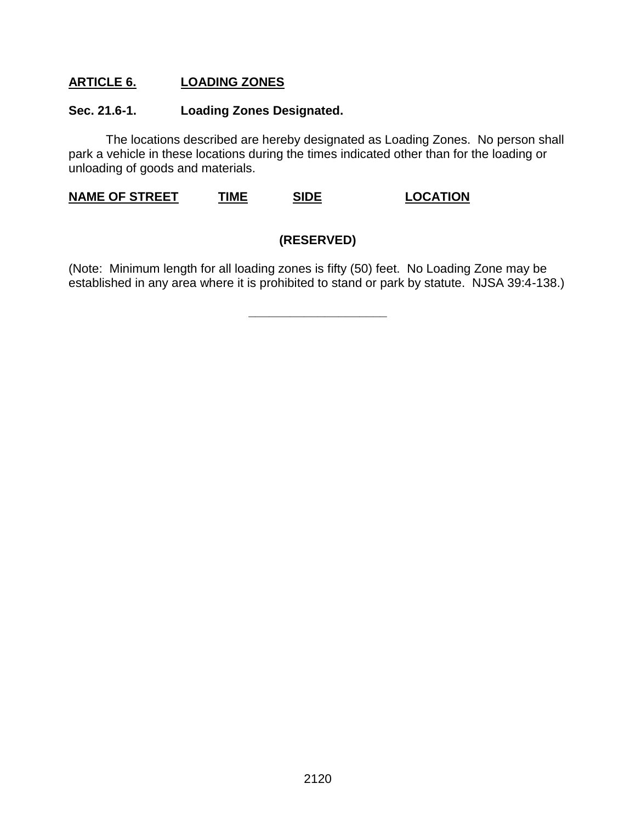### **ARTICLE 6. LOADING ZONES**

### **Sec. 21.6-1. Loading Zones Designated.**

The locations described are hereby designated as Loading Zones. No person shall park a vehicle in these locations during the times indicated other than for the loading or unloading of goods and materials.

**NAME OF STREET TIME SIDE LOCATION**

### **(RESERVED)**

(Note: Minimum length for all loading zones is fifty (50) feet. No Loading Zone may be established in any area where it is prohibited to stand or park by statute. NJSA 39:4-138.)

**\_\_\_\_\_\_\_\_\_\_\_\_\_\_\_\_\_\_\_\_**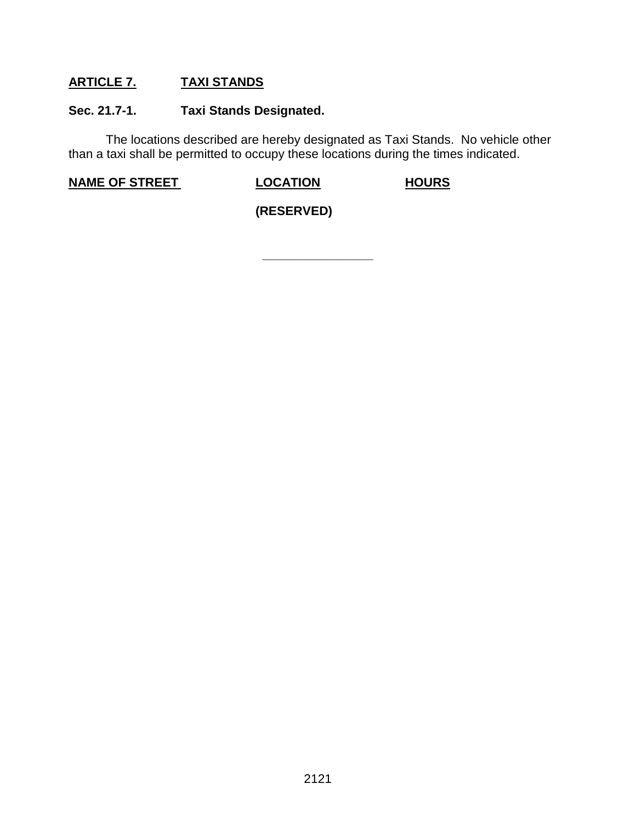### **ARTICLE 7. TAXI STANDS**

### **Sec. 21.7-1. Taxi Stands Designated.**

The locations described are hereby designated as Taxi Stands. No vehicle other than a taxi shall be permitted to occupy these locations during the times indicated.

**\_\_\_\_\_\_\_\_\_\_\_\_\_\_\_\_**

**NAME OF STREET LOCATION HOURS**

**(RESERVED)**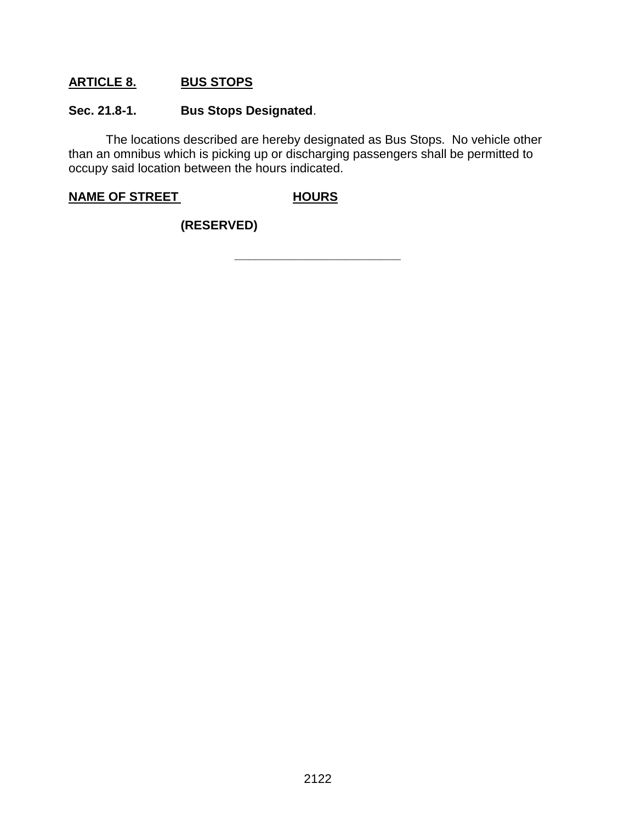### **ARTICLE 8. BUS STOPS**

### **Sec. 21.8-1. Bus Stops Designated**.

The locations described are hereby designated as Bus Stops. No vehicle other than an omnibus which is picking up or discharging passengers shall be permitted to occupy said location between the hours indicated.

### **NAME OF STREET HOURS**

### **(RESERVED)**

**\_\_\_\_\_\_\_\_\_\_\_\_\_\_\_\_\_\_\_\_\_\_\_\_**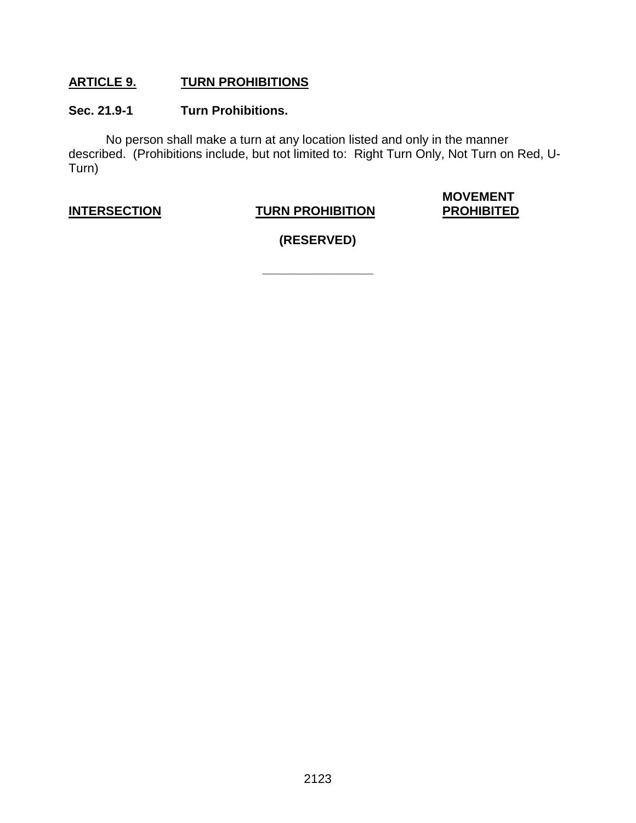### **ARTICLE 9. TURN PROHIBITIONS**

### **Sec. 21.9-1 Turn Prohibitions.**

No person shall make a turn at any location listed and only in the manner described. (Prohibitions include, but not limited to: Right Turn Only, Not Turn on Red, U-Turn)

### **INTERSECTION TURN PROHIBITION**

# **MOVEMENT**

**(RESERVED)**

**\_\_\_\_\_\_\_\_\_\_\_\_\_\_\_\_**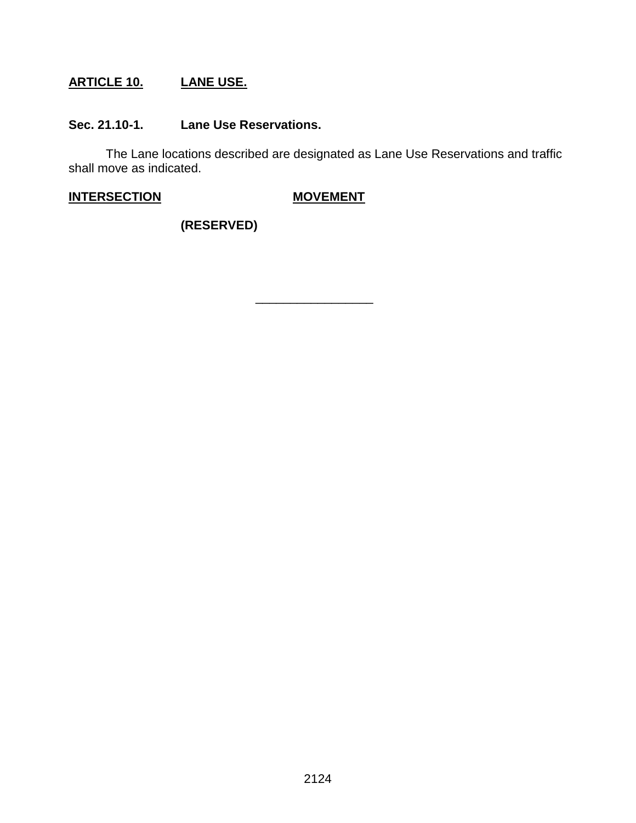## **ARTICLE 10. LANE USE.**

### **Sec. 21.10-1. Lane Use Reservations.**

The Lane locations described are designated as Lane Use Reservations and traffic shall move as indicated.

\_\_\_\_\_\_\_\_\_\_\_\_\_\_\_\_\_

**INTERSECTION MOVEMENT**

**(RESERVED)**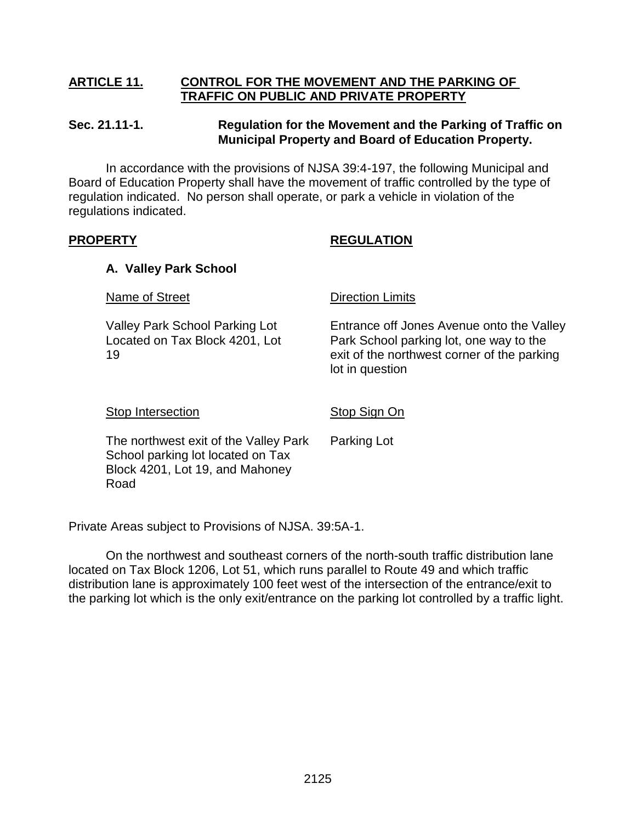### **ARTICLE 11. CONTROL FOR THE MOVEMENT AND THE PARKING OF TRAFFIC ON PUBLIC AND PRIVATE PROPERTY**

### **Sec. 21.11-1. Regulation for the Movement and the Parking of Traffic on Municipal Property and Board of Education Property.**

In accordance with the provisions of NJSA 39:4-197, the following Municipal and Board of Education Property shall have the movement of traffic controlled by the type of regulation indicated. No person shall operate, or park a vehicle in violation of the regulations indicated.

### **PROPERTY REGULATION**

### **A. Valley Park School**

Name of Street Direction Limits

Valley Park School Parking Lot Entrance off Jones Avenue onto the Valley Located on Tax Block 4201, Lot Park School parking lot, one way to the 19 exit of the northwest corner of the parking lot in question

### Stop Intersection Stop Sign On

The northwest exit of the Valley Park Parking Lot School parking lot located on Tax Block 4201, Lot 19, and Mahoney Road

Private Areas subject to Provisions of NJSA. 39:5A-1.

On the northwest and southeast corners of the north-south traffic distribution lane located on Tax Block 1206, Lot 51, which runs parallel to Route 49 and which traffic distribution lane is approximately 100 feet west of the intersection of the entrance/exit to the parking lot which is the only exit/entrance on the parking lot controlled by a traffic light.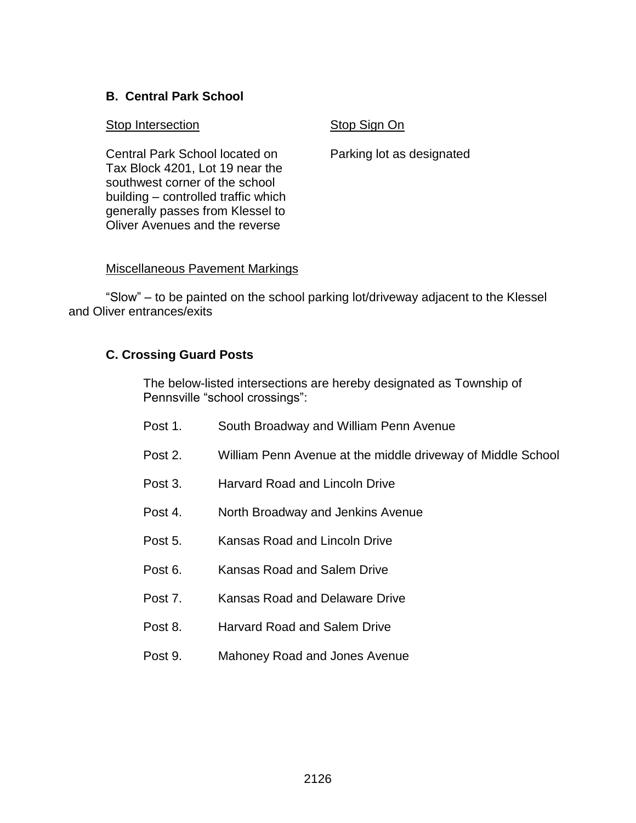### **B. Central Park School**

### **Stop Intersection** Stop Sign On

Central Park School located on Parking lot as designated Tax Block 4201, Lot 19 near the southwest corner of the school building – controlled traffic which generally passes from Klessel to Oliver Avenues and the reverse

### Miscellaneous Pavement Markings

"Slow" – to be painted on the school parking lot/driveway adjacent to the Klessel and Oliver entrances/exits

### **C. Crossing Guard Posts**

The below-listed intersections are hereby designated as Township of Pennsville "school crossings":

- Post 1. South Broadway and William Penn Avenue
- Post 2. William Penn Avenue at the middle driveway of Middle School
- Post 3. Harvard Road and Lincoln Drive
- Post 4. North Broadway and Jenkins Avenue
- Post 5. Kansas Road and Lincoln Drive
- Post 6. Kansas Road and Salem Drive
- Post 7. Kansas Road and Delaware Drive
- Post 8. Harvard Road and Salem Drive
- Post 9. Mahoney Road and Jones Avenue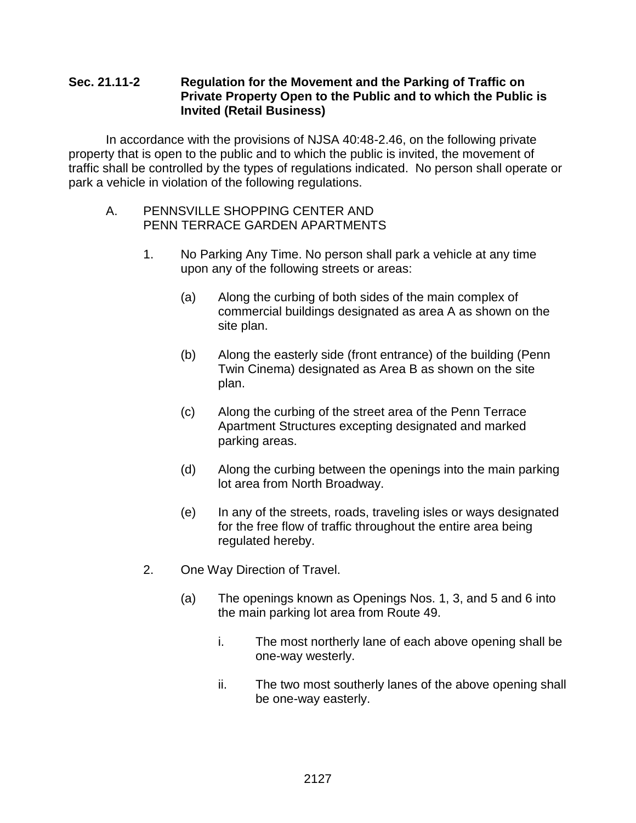### **Sec. 21.11-2 Regulation for the Movement and the Parking of Traffic on Private Property Open to the Public and to which the Public is Invited (Retail Business)**

In accordance with the provisions of NJSA 40:48-2.46, on the following private property that is open to the public and to which the public is invited, the movement of traffic shall be controlled by the types of regulations indicated. No person shall operate or park a vehicle in violation of the following regulations.

### A. PENNSVILLE SHOPPING CENTER AND PENN TERRACE GARDEN APARTMENTS

- 1. No Parking Any Time. No person shall park a vehicle at any time upon any of the following streets or areas:
	- (a) Along the curbing of both sides of the main complex of commercial buildings designated as area A as shown on the site plan.
	- (b) Along the easterly side (front entrance) of the building (Penn Twin Cinema) designated as Area B as shown on the site plan.
	- (c) Along the curbing of the street area of the Penn Terrace Apartment Structures excepting designated and marked parking areas.
	- (d) Along the curbing between the openings into the main parking lot area from North Broadway.
	- (e) In any of the streets, roads, traveling isles or ways designated for the free flow of traffic throughout the entire area being regulated hereby.
- 2. One Way Direction of Travel.
	- (a) The openings known as Openings Nos. 1, 3, and 5 and 6 into the main parking lot area from Route 49.
		- i. The most northerly lane of each above opening shall be one-way westerly.
		- ii. The two most southerly lanes of the above opening shall be one-way easterly.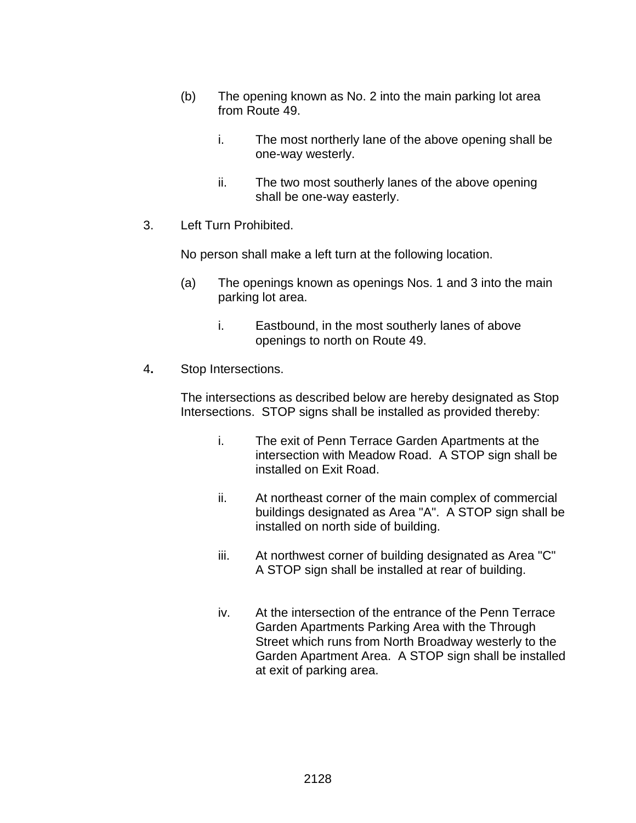- (b) The opening known as No. 2 into the main parking lot area from Route 49.
	- i. The most northerly lane of the above opening shall be one-way westerly.
	- ii. The two most southerly lanes of the above opening shall be one-way easterly.
- 3. Left Turn Prohibited.

No person shall make a left turn at the following location.

- (a) The openings known as openings Nos. 1 and 3 into the main parking lot area.
	- i. Eastbound, in the most southerly lanes of above openings to north on Route 49.
- 4**.** Stop Intersections.

The intersections as described below are hereby designated as Stop Intersections. STOP signs shall be installed as provided thereby:

- i. The exit of Penn Terrace Garden Apartments at the intersection with Meadow Road. A STOP sign shall be installed on Exit Road.
- ii. At northeast corner of the main complex of commercial buildings designated as Area "A". A STOP sign shall be installed on north side of building.
- iii. At northwest corner of building designated as Area "C" A STOP sign shall be installed at rear of building.
- iv. At the intersection of the entrance of the Penn Terrace Garden Apartments Parking Area with the Through Street which runs from North Broadway westerly to the Garden Apartment Area. A STOP sign shall be installed at exit of parking area.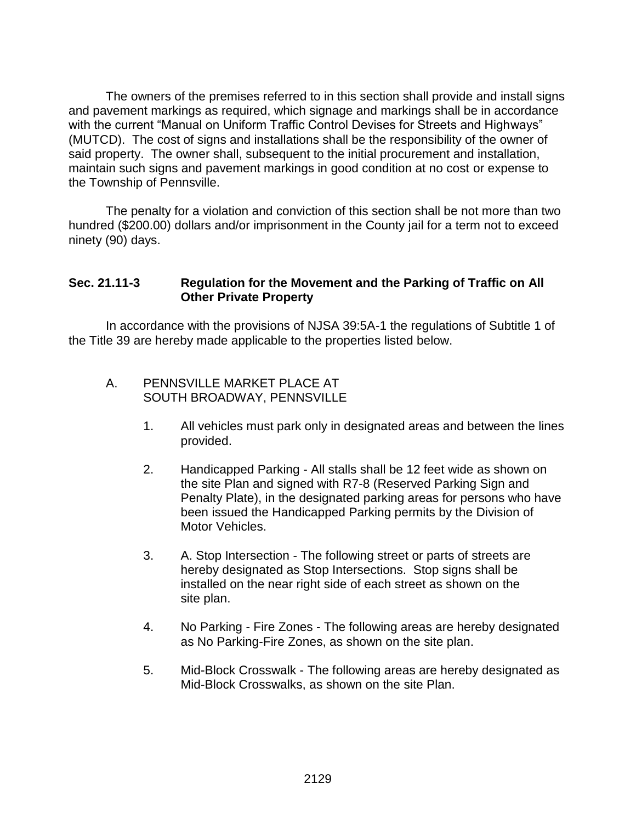The owners of the premises referred to in this section shall provide and install signs and pavement markings as required, which signage and markings shall be in accordance with the current "Manual on Uniform Traffic Control Devises for Streets and Highways" (MUTCD). The cost of signs and installations shall be the responsibility of the owner of said property. The owner shall, subsequent to the initial procurement and installation, maintain such signs and pavement markings in good condition at no cost or expense to the Township of Pennsville.

The penalty for a violation and conviction of this section shall be not more than two hundred (\$200.00) dollars and/or imprisonment in the County jail for a term not to exceed ninety (90) days.

### **Sec. 21.11-3 Regulation for the Movement and the Parking of Traffic on All Other Private Property**

In accordance with the provisions of NJSA 39:5A-1 the regulations of Subtitle 1 of the Title 39 are hereby made applicable to the properties listed below.

### A. PENNSVILLE MARKET PLACE AT SOUTH BROADWAY, PENNSVILLE

- 1. All vehicles must park only in designated areas and between the lines provided.
- 2. Handicapped Parking All stalls shall be 12 feet wide as shown on the site Plan and signed with R7-8 (Reserved Parking Sign and Penalty Plate), in the designated parking areas for persons who have been issued the Handicapped Parking permits by the Division of Motor Vehicles.
- 3. A. Stop Intersection The following street or parts of streets are hereby designated as Stop Intersections. Stop signs shall be installed on the near right side of each street as shown on the site plan.
- 4. No Parking Fire Zones The following areas are hereby designated as No Parking-Fire Zones, as shown on the site plan.
- 5. Mid-Block Crosswalk The following areas are hereby designated as Mid-Block Crosswalks, as shown on the site Plan.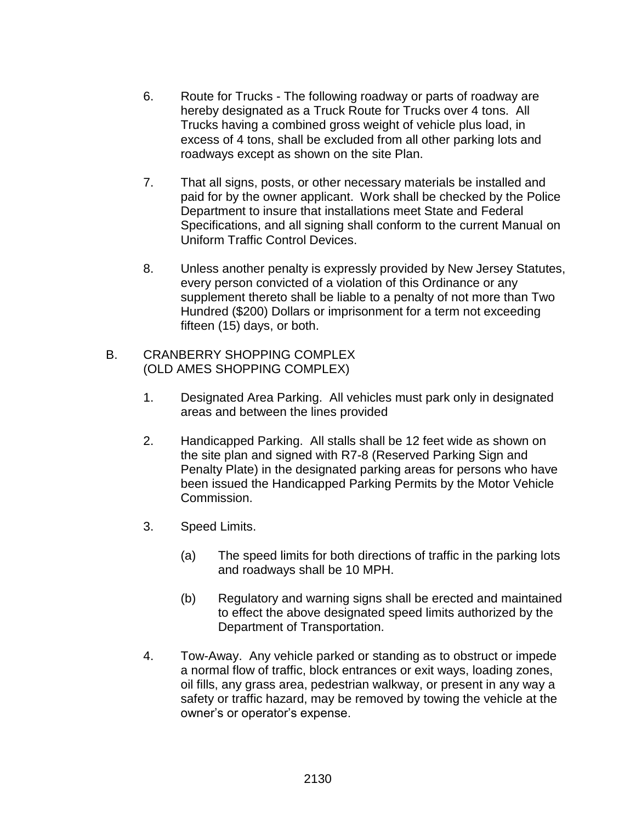- 6. Route for Trucks The following roadway or parts of roadway are hereby designated as a Truck Route for Trucks over 4 tons. All Trucks having a combined gross weight of vehicle plus load, in excess of 4 tons, shall be excluded from all other parking lots and roadways except as shown on the site Plan.
- 7. That all signs, posts, or other necessary materials be installed and paid for by the owner applicant. Work shall be checked by the Police Department to insure that installations meet State and Federal Specifications, and all signing shall conform to the current Manual on Uniform Traffic Control Devices.
- 8. Unless another penalty is expressly provided by New Jersey Statutes, every person convicted of a violation of this Ordinance or any supplement thereto shall be liable to a penalty of not more than Two Hundred (\$200) Dollars or imprisonment for a term not exceeding fifteen (15) days, or both.

### B. CRANBERRY SHOPPING COMPLEX (OLD AMES SHOPPING COMPLEX)

- 1. Designated Area Parking. All vehicles must park only in designated areas and between the lines provided
- 2. Handicapped Parking. All stalls shall be 12 feet wide as shown on the site plan and signed with R7-8 (Reserved Parking Sign and Penalty Plate) in the designated parking areas for persons who have been issued the Handicapped Parking Permits by the Motor Vehicle Commission.
- 3. Speed Limits.
	- (a) The speed limits for both directions of traffic in the parking lots and roadways shall be 10 MPH.
	- (b) Regulatory and warning signs shall be erected and maintained to effect the above designated speed limits authorized by the Department of Transportation.
- 4. Tow-Away. Any vehicle parked or standing as to obstruct or impede a normal flow of traffic, block entrances or exit ways, loading zones, oil fills, any grass area, pedestrian walkway, or present in any way a safety or traffic hazard, may be removed by towing the vehicle at the owner's or operator's expense.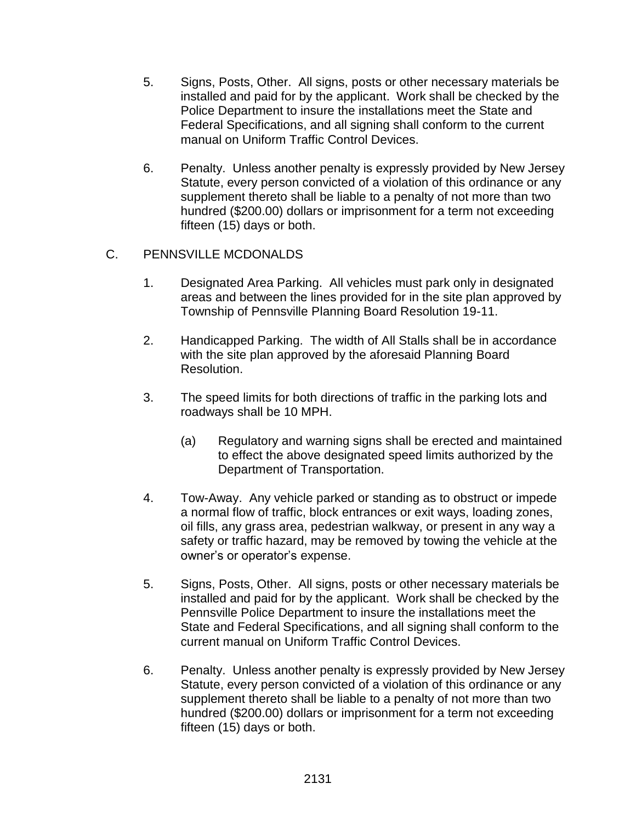- 5. Signs, Posts, Other. All signs, posts or other necessary materials be installed and paid for by the applicant. Work shall be checked by the Police Department to insure the installations meet the State and Federal Specifications, and all signing shall conform to the current manual on Uniform Traffic Control Devices.
- 6. Penalty. Unless another penalty is expressly provided by New Jersey Statute, every person convicted of a violation of this ordinance or any supplement thereto shall be liable to a penalty of not more than two hundred (\$200.00) dollars or imprisonment for a term not exceeding fifteen (15) days or both.

### C. PENNSVILLE MCDONALDS

- 1. Designated Area Parking. All vehicles must park only in designated areas and between the lines provided for in the site plan approved by Township of Pennsville Planning Board Resolution 19-11.
- 2. Handicapped Parking. The width of All Stalls shall be in accordance with the site plan approved by the aforesaid Planning Board Resolution.
- 3. The speed limits for both directions of traffic in the parking lots and roadways shall be 10 MPH.
	- (a) Regulatory and warning signs shall be erected and maintained to effect the above designated speed limits authorized by the Department of Transportation.
- 4. Tow-Away. Any vehicle parked or standing as to obstruct or impede a normal flow of traffic, block entrances or exit ways, loading zones, oil fills, any grass area, pedestrian walkway, or present in any way a safety or traffic hazard, may be removed by towing the vehicle at the owner's or operator's expense.
- 5. Signs, Posts, Other. All signs, posts or other necessary materials be installed and paid for by the applicant. Work shall be checked by the Pennsville Police Department to insure the installations meet the State and Federal Specifications, and all signing shall conform to the current manual on Uniform Traffic Control Devices.
- 6. Penalty. Unless another penalty is expressly provided by New Jersey Statute, every person convicted of a violation of this ordinance or any supplement thereto shall be liable to a penalty of not more than two hundred (\$200.00) dollars or imprisonment for a term not exceeding fifteen (15) days or both.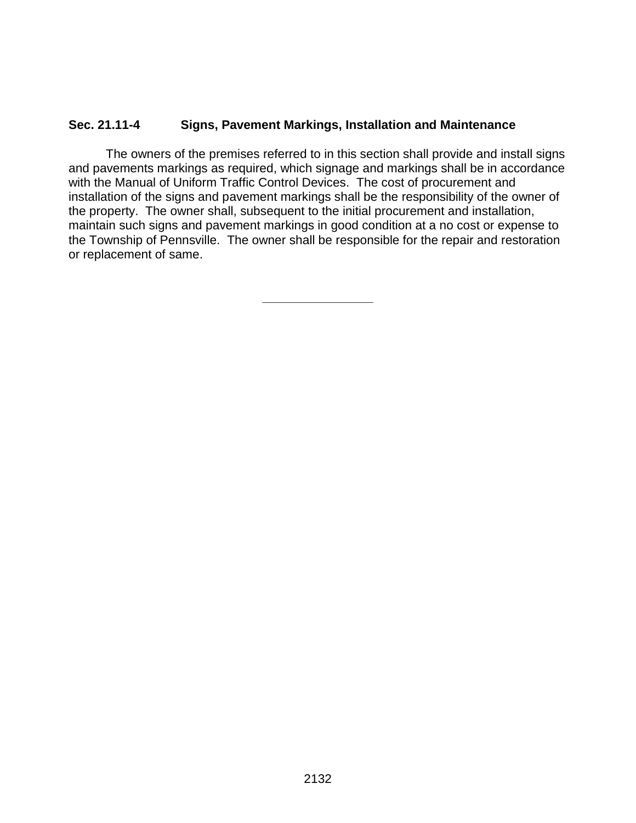### **Sec. 21.11-4 Signs, Pavement Markings, Installation and Maintenance**

The owners of the premises referred to in this section shall provide and install signs and pavements markings as required, which signage and markings shall be in accordance with the Manual of Uniform Traffic Control Devices. The cost of procurement and installation of the signs and pavement markings shall be the responsibility of the owner of the property. The owner shall, subsequent to the initial procurement and installation, maintain such signs and pavement markings in good condition at a no cost or expense to the Township of Pennsville. The owner shall be responsible for the repair and restoration or replacement of same.

**\_\_\_\_\_\_\_\_\_\_\_\_\_\_\_\_**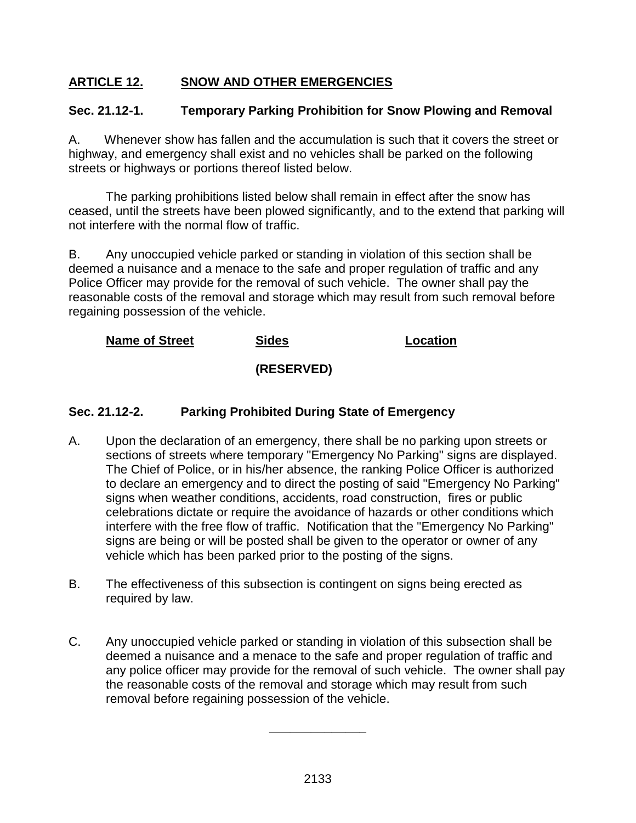### **ARTICLE 12. SNOW AND OTHER EMERGENCIES**

### **Sec. 21.12-1. Temporary Parking Prohibition for Snow Plowing and Removal**

A.Whenever show has fallen and the accumulation is such that it covers the street or highway, and emergency shall exist and no vehicles shall be parked on the following streets or highways or portions thereof listed below.

The parking prohibitions listed below shall remain in effect after the snow has ceased, until the streets have been plowed significantly, and to the extend that parking will not interfere with the normal flow of traffic.

B. Any unoccupied vehicle parked or standing in violation of this section shall be deemed a nuisance and a menace to the safe and proper regulation of traffic and any Police Officer may provide for the removal of such vehicle. The owner shall pay the reasonable costs of the removal and storage which may result from such removal before regaining possession of the vehicle.

## **Name of Street Sides Location**

### **(RESERVED)**

### **Sec. 21.12-2. Parking Prohibited During State of Emergency**

- A. Upon the declaration of an emergency, there shall be no parking upon streets or sections of streets where temporary "Emergency No Parking" signs are displayed. The Chief of Police, or in his/her absence, the ranking Police Officer is authorized to declare an emergency and to direct the posting of said "Emergency No Parking" signs when weather conditions, accidents, road construction, fires or public celebrations dictate or require the avoidance of hazards or other conditions which interfere with the free flow of traffic. Notification that the "Emergency No Parking" signs are being or will be posted shall be given to the operator or owner of any vehicle which has been parked prior to the posting of the signs.
- B. The effectiveness of this subsection is contingent on signs being erected as required by law.
- C. Any unoccupied vehicle parked or standing in violation of this subsection shall be deemed a nuisance and a menace to the safe and proper regulation of traffic and any police officer may provide for the removal of such vehicle. The owner shall pay the reasonable costs of the removal and storage which may result from such removal before regaining possession of the vehicle.

**\_\_\_\_\_\_\_\_\_\_\_\_\_\_**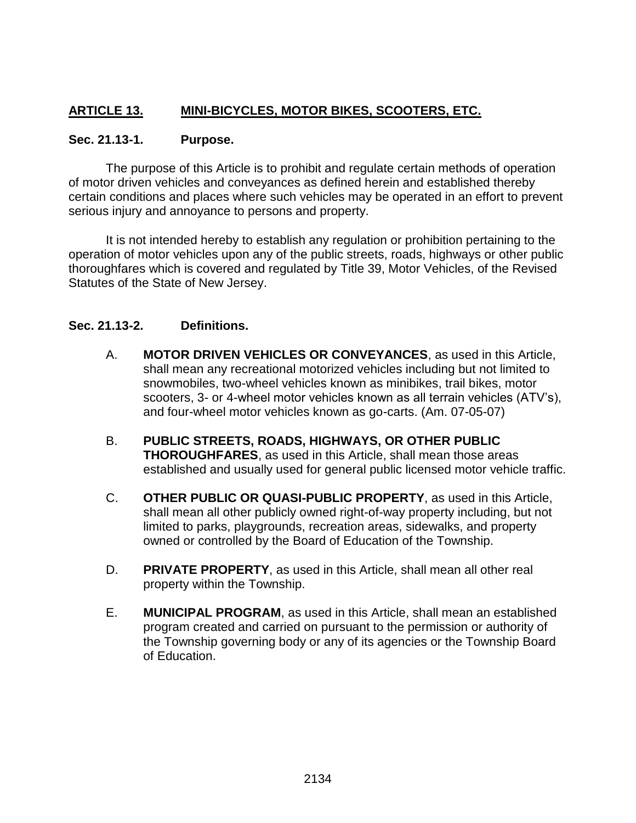## **ARTICLE 13. MINI-BICYCLES, MOTOR BIKES, SCOOTERS, ETC.**

### **Sec. 21.13-1. Purpose.**

The purpose of this Article is to prohibit and regulate certain methods of operation of motor driven vehicles and conveyances as defined herein and established thereby certain conditions and places where such vehicles may be operated in an effort to prevent serious injury and annoyance to persons and property.

It is not intended hereby to establish any regulation or prohibition pertaining to the operation of motor vehicles upon any of the public streets, roads, highways or other public thoroughfares which is covered and regulated by Title 39, Motor Vehicles, of the Revised Statutes of the State of New Jersey.

### **Sec. 21.13-2. Definitions.**

- A. **MOTOR DRIVEN VEHICLES OR CONVEYANCES**, as used in this Article, shall mean any recreational motorized vehicles including but not limited to snowmobiles, two-wheel vehicles known as minibikes, trail bikes, motor scooters, 3- or 4-wheel motor vehicles known as all terrain vehicles (ATV's), and four-wheel motor vehicles known as go-carts. (Am. 07-05-07)
- B. **PUBLIC STREETS, ROADS, HIGHWAYS, OR OTHER PUBLIC THOROUGHFARES**, as used in this Article, shall mean those areas established and usually used for general public licensed motor vehicle traffic.
- C. **OTHER PUBLIC OR QUASI-PUBLIC PROPERTY**, as used in this Article, shall mean all other publicly owned right-of-way property including, but not limited to parks, playgrounds, recreation areas, sidewalks, and property owned or controlled by the Board of Education of the Township.
- D. **PRIVATE PROPERTY**, as used in this Article, shall mean all other real property within the Township.
- E. **MUNICIPAL PROGRAM**, as used in this Article, shall mean an established program created and carried on pursuant to the permission or authority of the Township governing body or any of its agencies or the Township Board of Education.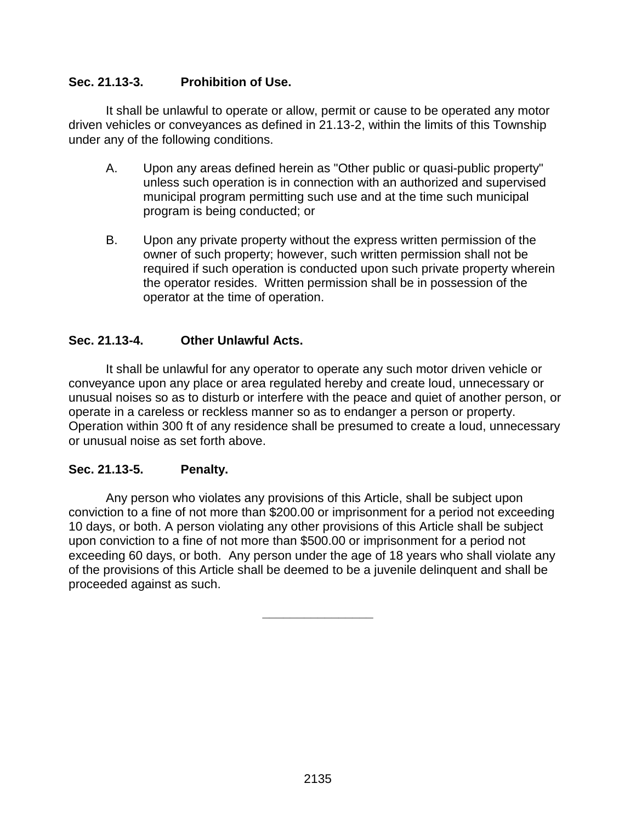### **Sec. 21.13-3. Prohibition of Use.**

It shall be unlawful to operate or allow, permit or cause to be operated any motor driven vehicles or conveyances as defined in 21.13-2, within the limits of this Township under any of the following conditions.

- A. Upon any areas defined herein as "Other public or quasi-public property" unless such operation is in connection with an authorized and supervised municipal program permitting such use and at the time such municipal program is being conducted; or
- B. Upon any private property without the express written permission of the owner of such property; however, such written permission shall not be required if such operation is conducted upon such private property wherein the operator resides. Written permission shall be in possession of the operator at the time of operation.

### **Sec. 21.13-4. Other Unlawful Acts.**

It shall be unlawful for any operator to operate any such motor driven vehicle or conveyance upon any place or area regulated hereby and create loud, unnecessary or unusual noises so as to disturb or interfere with the peace and quiet of another person, or operate in a careless or reckless manner so as to endanger a person or property. Operation within 300 ft of any residence shall be presumed to create a loud, unnecessary or unusual noise as set forth above.

### **Sec. 21.13-5. Penalty.**

Any person who violates any provisions of this Article, shall be subject upon conviction to a fine of not more than \$200.00 or imprisonment for a period not exceeding 10 days, or both. A person violating any other provisions of this Article shall be subject upon conviction to a fine of not more than \$500.00 or imprisonment for a period not exceeding 60 days, or both. Any person under the age of 18 years who shall violate any of the provisions of this Article shall be deemed to be a juvenile delinquent and shall be proceeded against as such.

**\_\_\_\_\_\_\_\_\_\_\_\_\_\_\_\_**

2135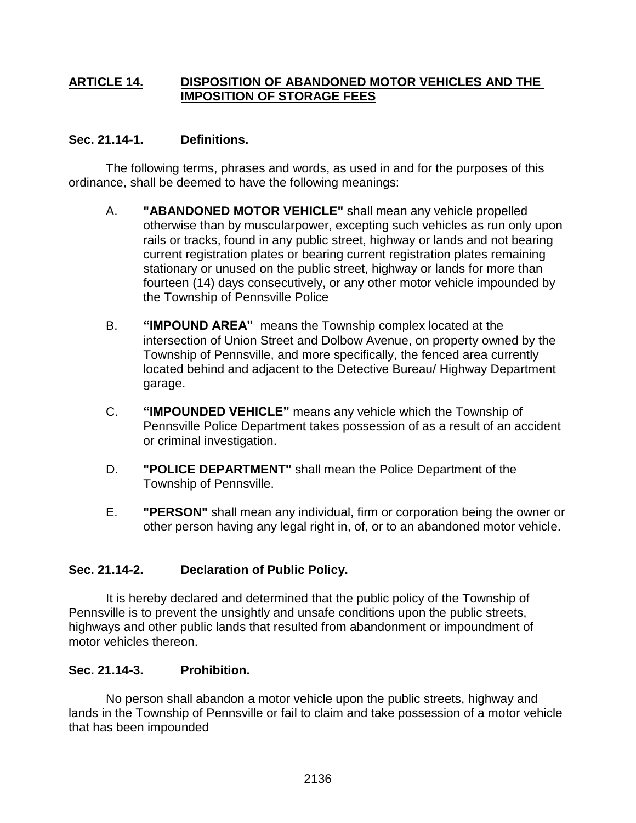### **ARTICLE 14. DISPOSITION OF ABANDONED MOTOR VEHICLES AND THE IMPOSITION OF STORAGE FEES**

### **Sec. 21.14-1. Definitions.**

The following terms, phrases and words, as used in and for the purposes of this ordinance, shall be deemed to have the following meanings:

- A. **"ABANDONED MOTOR VEHICLE"** shall mean any vehicle propelled otherwise than by muscularpower, excepting such vehicles as run only upon rails or tracks, found in any public street, highway or lands and not bearing current registration plates or bearing current registration plates remaining stationary or unused on the public street, highway or lands for more than fourteen (14) days consecutively, or any other motor vehicle impounded by the Township of Pennsville Police
- B. **"IMPOUND AREA"** means the Township complex located at the intersection of Union Street and Dolbow Avenue, on property owned by the Township of Pennsville, and more specifically, the fenced area currently located behind and adjacent to the Detective Bureau/ Highway Department garage.
- C. **"IMPOUNDED VEHICLE"** means any vehicle which the Township of Pennsville Police Department takes possession of as a result of an accident or criminal investigation.
- D. **"POLICE DEPARTMENT"** shall mean the Police Department of the Township of Pennsville.
- E. **"PERSON"** shall mean any individual, firm or corporation being the owner or other person having any legal right in, of, or to an abandoned motor vehicle.

## **Sec. 21.14-2. Declaration of Public Policy.**

It is hereby declared and determined that the public policy of the Township of Pennsville is to prevent the unsightly and unsafe conditions upon the public streets, highways and other public lands that resulted from abandonment or impoundment of motor vehicles thereon.

## **Sec. 21.14-3. Prohibition.**

No person shall abandon a motor vehicle upon the public streets, highway and lands in the Township of Pennsville or fail to claim and take possession of a motor vehicle that has been impounded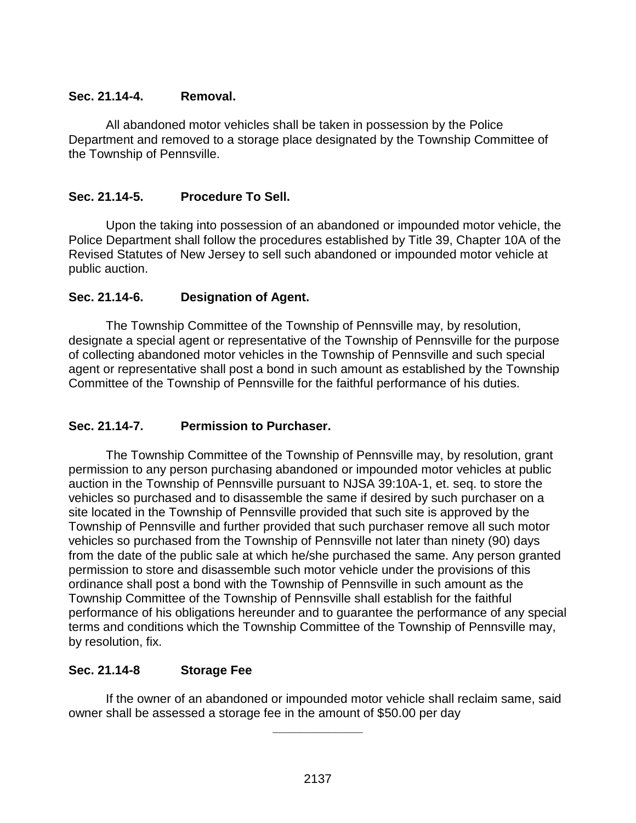### **Sec. 21.14-4. Removal.**

All abandoned motor vehicles shall be taken in possession by the Police Department and removed to a storage place designated by the Township Committee of the Township of Pennsville.

### **Sec. 21.14-5. Procedure To Sell.**

Upon the taking into possession of an abandoned or impounded motor vehicle, the Police Department shall follow the procedures established by Title 39, Chapter 10A of the Revised Statutes of New Jersey to sell such abandoned or impounded motor vehicle at public auction.

### **Sec. 21.14-6. Designation of Agent.**

The Township Committee of the Township of Pennsville may, by resolution, designate a special agent or representative of the Township of Pennsville for the purpose of collecting abandoned motor vehicles in the Township of Pennsville and such special agent or representative shall post a bond in such amount as established by the Township Committee of the Township of Pennsville for the faithful performance of his duties.

**Sec. 21.14-7. Permission to Purchaser.**

The Township Committee of the Township of Pennsville may, by resolution, grant permission to any person purchasing abandoned or impounded motor vehicles at public auction in the Township of Pennsville pursuant to NJSA 39:10A-1, et. seq. to store the vehicles so purchased and to disassemble the same if desired by such purchaser on a site located in the Township of Pennsville provided that such site is approved by the Township of Pennsville and further provided that such purchaser remove all such motor vehicles so purchased from the Township of Pennsville not later than ninety (90) days from the date of the public sale at which he/she purchased the same. Any person granted permission to store and disassemble such motor vehicle under the provisions of this ordinance shall post a bond with the Township of Pennsville in such amount as the Township Committee of the Township of Pennsville shall establish for the faithful performance of his obligations hereunder and to guarantee the performance of any special terms and conditions which the Township Committee of the Township of Pennsville may, by resolution, fix.

### **Sec. 21.14-8 Storage Fee**

If the owner of an abandoned or impounded motor vehicle shall reclaim same, said owner shall be assessed a storage fee in the amount of \$50.00 per day

**\_\_\_\_\_\_\_\_\_\_\_\_\_**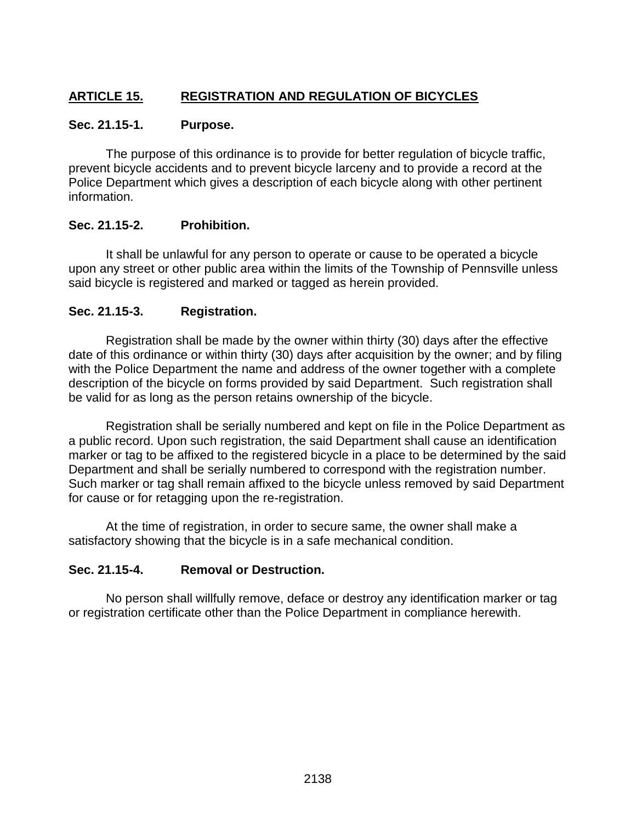## **ARTICLE 15. REGISTRATION AND REGULATION OF BICYCLES**

### **Sec. 21.15-1. Purpose.**

The purpose of this ordinance is to provide for better regulation of bicycle traffic, prevent bicycle accidents and to prevent bicycle larceny and to provide a record at the Police Department which gives a description of each bicycle along with other pertinent information.

### **Sec. 21.15-2. Prohibition.**

It shall be unlawful for any person to operate or cause to be operated a bicycle upon any street or other public area within the limits of the Township of Pennsville unless said bicycle is registered and marked or tagged as herein provided.

### **Sec. 21.15-3. Registration.**

Registration shall be made by the owner within thirty (30) days after the effective date of this ordinance or within thirty (30) days after acquisition by the owner; and by filing with the Police Department the name and address of the owner together with a complete description of the bicycle on forms provided by said Department. Such registration shall be valid for as long as the person retains ownership of the bicycle.

Registration shall be serially numbered and kept on file in the Police Department as a public record. Upon such registration, the said Department shall cause an identification marker or tag to be affixed to the registered bicycle in a place to be determined by the said Department and shall be serially numbered to correspond with the registration number. Such marker or tag shall remain affixed to the bicycle unless removed by said Department for cause or for retagging upon the re-registration.

At the time of registration, in order to secure same, the owner shall make a satisfactory showing that the bicycle is in a safe mechanical condition.

### **Sec. 21.15-4. Removal or Destruction.**

No person shall willfully remove, deface or destroy any identification marker or tag or registration certificate other than the Police Department in compliance herewith.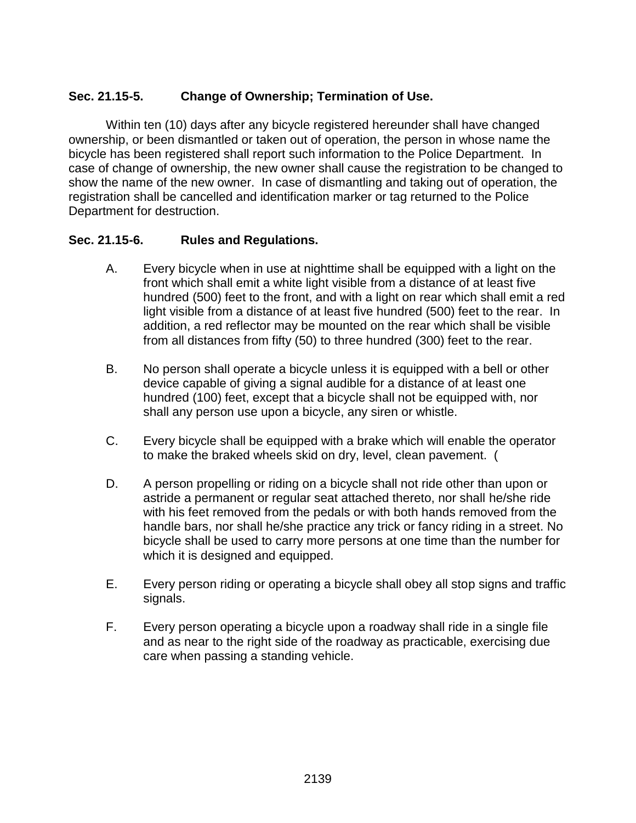### **Sec. 21.15-5. Change of Ownership; Termination of Use.**

Within ten (10) days after any bicycle registered hereunder shall have changed ownership, or been dismantled or taken out of operation, the person in whose name the bicycle has been registered shall report such information to the Police Department. In case of change of ownership, the new owner shall cause the registration to be changed to show the name of the new owner. In case of dismantling and taking out of operation, the registration shall be cancelled and identification marker or tag returned to the Police Department for destruction.

### **Sec. 21.15-6. Rules and Regulations.**

- A. Every bicycle when in use at nighttime shall be equipped with a light on the front which shall emit a white light visible from a distance of at least five hundred (500) feet to the front, and with a light on rear which shall emit a red light visible from a distance of at least five hundred (500) feet to the rear. In addition, a red reflector may be mounted on the rear which shall be visible from all distances from fifty (50) to three hundred (300) feet to the rear.
- B. No person shall operate a bicycle unless it is equipped with a bell or other device capable of giving a signal audible for a distance of at least one hundred (100) feet, except that a bicycle shall not be equipped with, nor shall any person use upon a bicycle, any siren or whistle.
- C. Every bicycle shall be equipped with a brake which will enable the operator to make the braked wheels skid on dry, level, clean pavement. (
- D. A person propelling or riding on a bicycle shall not ride other than upon or astride a permanent or regular seat attached thereto, nor shall he/she ride with his feet removed from the pedals or with both hands removed from the handle bars, nor shall he/she practice any trick or fancy riding in a street. No bicycle shall be used to carry more persons at one time than the number for which it is designed and equipped.
- E. Every person riding or operating a bicycle shall obey all stop signs and traffic signals.
- F. Every person operating a bicycle upon a roadway shall ride in a single file and as near to the right side of the roadway as practicable, exercising due care when passing a standing vehicle.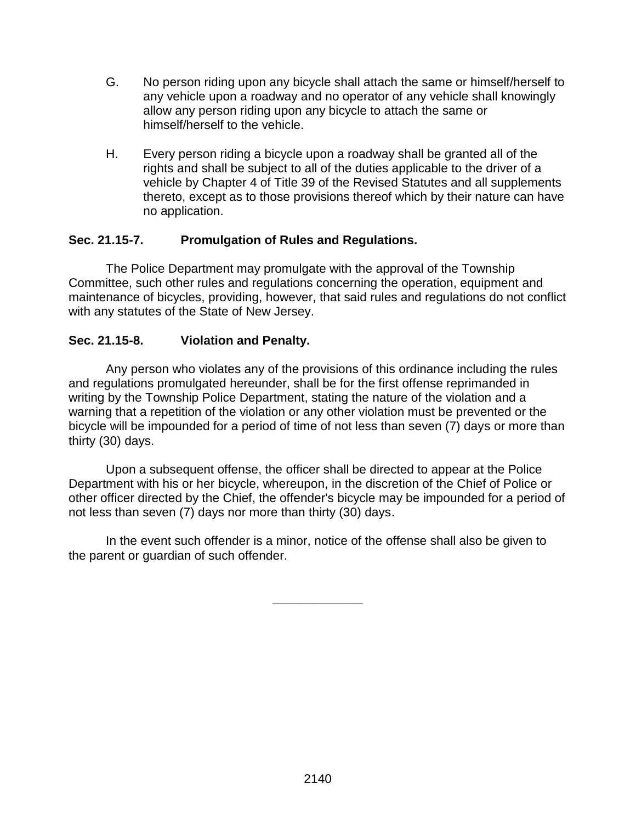- G. No person riding upon any bicycle shall attach the same or himself/herself to any vehicle upon a roadway and no operator of any vehicle shall knowingly allow any person riding upon any bicycle to attach the same or himself/herself to the vehicle.
- H. Every person riding a bicycle upon a roadway shall be granted all of the rights and shall be subject to all of the duties applicable to the driver of a vehicle by Chapter 4 of Title 39 of the Revised Statutes and all supplements thereto, except as to those provisions thereof which by their nature can have no application.

### **Sec. 21.15-7. Promulgation of Rules and Regulations.**

The Police Department may promulgate with the approval of the Township Committee, such other rules and regulations concerning the operation, equipment and maintenance of bicycles, providing, however, that said rules and regulations do not conflict with any statutes of the State of New Jersey.

### **Sec. 21.15-8. Violation and Penalty.**

Any person who violates any of the provisions of this ordinance including the rules and regulations promulgated hereunder, shall be for the first offense reprimanded in writing by the Township Police Department, stating the nature of the violation and a warning that a repetition of the violation or any other violation must be prevented or the bicycle will be impounded for a period of time of not less than seven (7) days or more than thirty (30) days.

Upon a subsequent offense, the officer shall be directed to appear at the Police Department with his or her bicycle, whereupon, in the discretion of the Chief of Police or other officer directed by the Chief, the offender's bicycle may be impounded for a period of not less than seven (7) days nor more than thirty (30) days.

In the event such offender is a minor, notice of the offense shall also be given to the parent or guardian of such offender.

**\_\_\_\_\_\_\_\_\_\_\_\_\_**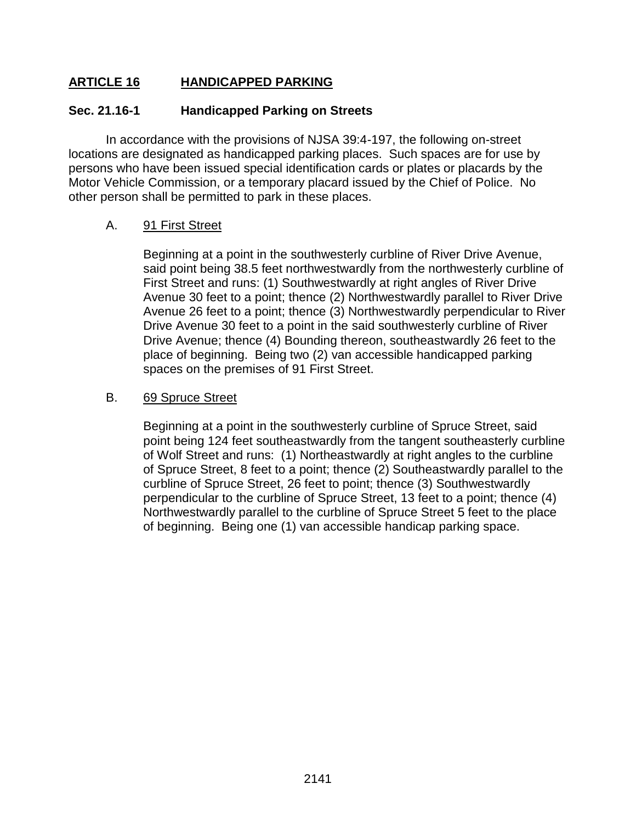### **ARTICLE 16 HANDICAPPED PARKING**

### **Sec. 21.16-1 Handicapped Parking on Streets**

In accordance with the provisions of NJSA 39:4-197, the following on-street locations are designated as handicapped parking places. Such spaces are for use by persons who have been issued special identification cards or plates or placards by the Motor Vehicle Commission, or a temporary placard issued by the Chief of Police. No other person shall be permitted to park in these places.

### A. 91 First Street

Beginning at a point in the southwesterly curbline of River Drive Avenue, said point being 38.5 feet northwestwardly from the northwesterly curbline of First Street and runs: (1) Southwestwardly at right angles of River Drive Avenue 30 feet to a point; thence (2) Northwestwardly parallel to River Drive Avenue 26 feet to a point; thence (3) Northwestwardly perpendicular to River Drive Avenue 30 feet to a point in the said southwesterly curbline of River Drive Avenue; thence (4) Bounding thereon, southeastwardly 26 feet to the place of beginning. Being two (2) van accessible handicapped parking spaces on the premises of 91 First Street.

### B. 69 Spruce Street

Beginning at a point in the southwesterly curbline of Spruce Street, said point being 124 feet southeastwardly from the tangent southeasterly curbline of Wolf Street and runs: (1) Northeastwardly at right angles to the curbline of Spruce Street, 8 feet to a point; thence (2) Southeastwardly parallel to the curbline of Spruce Street, 26 feet to point; thence (3) Southwestwardly perpendicular to the curbline of Spruce Street, 13 feet to a point; thence (4) Northwestwardly parallel to the curbline of Spruce Street 5 feet to the place of beginning. Being one (1) van accessible handicap parking space.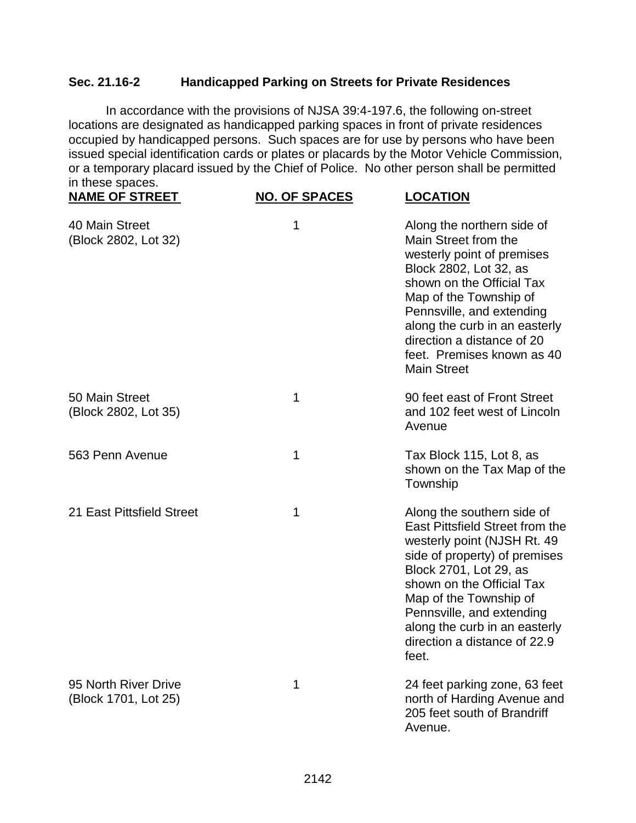### **Sec. 21.16-2 Handicapped Parking on Streets for Private Residences**

In accordance with the provisions of NJSA 39:4-197.6, the following on-street locations are designated as handicapped parking spaces in front of private residences occupied by handicapped persons. Such spaces are for use by persons who have been issued special identification cards or plates or placards by the Motor Vehicle Commission, or a temporary placard issued by the Chief of Police. No other person shall be permitted in these spaces.

| <b>NAME OF STREET</b>                        | <b>NO. OF SPACES</b> | <b>LOCATION</b>                                                                                                                                                                                                                                                                                                        |
|----------------------------------------------|----------------------|------------------------------------------------------------------------------------------------------------------------------------------------------------------------------------------------------------------------------------------------------------------------------------------------------------------------|
| 40 Main Street<br>(Block 2802, Lot 32)       | 1                    | Along the northern side of<br>Main Street from the<br>westerly point of premises<br>Block 2802, Lot 32, as<br>shown on the Official Tax<br>Map of the Township of<br>Pennsville, and extending<br>along the curb in an easterly<br>direction a distance of 20<br>feet. Premises known as 40<br><b>Main Street</b>      |
| 50 Main Street<br>(Block 2802, Lot 35)       | 1                    | 90 feet east of Front Street<br>and 102 feet west of Lincoln<br>Avenue                                                                                                                                                                                                                                                 |
| 563 Penn Avenue                              | 1                    | Tax Block 115, Lot 8, as<br>shown on the Tax Map of the<br>Township                                                                                                                                                                                                                                                    |
| 21 East Pittsfield Street                    | 1                    | Along the southern side of<br>East Pittsfield Street from the<br>westerly point (NJSH Rt. 49)<br>side of property) of premises<br>Block 2701, Lot 29, as<br>shown on the Official Tax<br>Map of the Township of<br>Pennsville, and extending<br>along the curb in an easterly<br>direction a distance of 22.9<br>feet. |
| 95 North River Drive<br>(Block 1701, Lot 25) | 1                    | 24 feet parking zone, 63 feet<br>north of Harding Avenue and<br>205 feet south of Brandriff<br>Avenue.                                                                                                                                                                                                                 |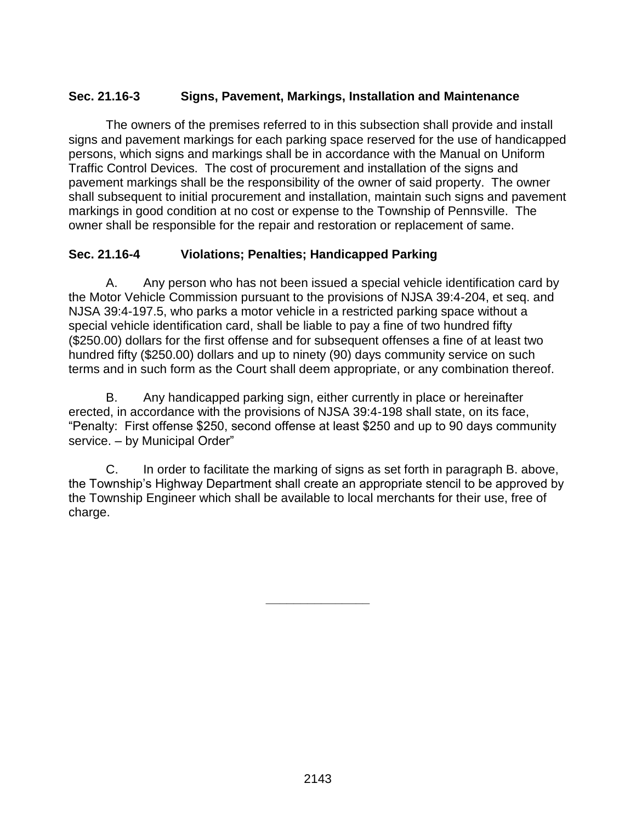### **Sec. 21.16-3 Signs, Pavement, Markings, Installation and Maintenance**

The owners of the premises referred to in this subsection shall provide and install signs and pavement markings for each parking space reserved for the use of handicapped persons, which signs and markings shall be in accordance with the Manual on Uniform Traffic Control Devices. The cost of procurement and installation of the signs and pavement markings shall be the responsibility of the owner of said property. The owner shall subsequent to initial procurement and installation, maintain such signs and pavement markings in good condition at no cost or expense to the Township of Pennsville. The owner shall be responsible for the repair and restoration or replacement of same.

### **Sec. 21.16-4 Violations; Penalties; Handicapped Parking**

A. Any person who has not been issued a special vehicle identification card by the Motor Vehicle Commission pursuant to the provisions of NJSA 39:4-204, et seq. and NJSA 39:4-197.5, who parks a motor vehicle in a restricted parking space without a special vehicle identification card, shall be liable to pay a fine of two hundred fifty (\$250.00) dollars for the first offense and for subsequent offenses a fine of at least two hundred fifty (\$250.00) dollars and up to ninety (90) days community service on such terms and in such form as the Court shall deem appropriate, or any combination thereof.

B. Any handicapped parking sign, either currently in place or hereinafter erected, in accordance with the provisions of NJSA 39:4-198 shall state, on its face, "Penalty: First offense \$250, second offense at least \$250 and up to 90 days community service. – by Municipal Order"

C. In order to facilitate the marking of signs as set forth in paragraph B. above, the Township's Highway Department shall create an appropriate stencil to be approved by the Township Engineer which shall be available to local merchants for their use, free of charge.

**\_\_\_\_\_\_\_\_\_\_\_\_\_\_\_**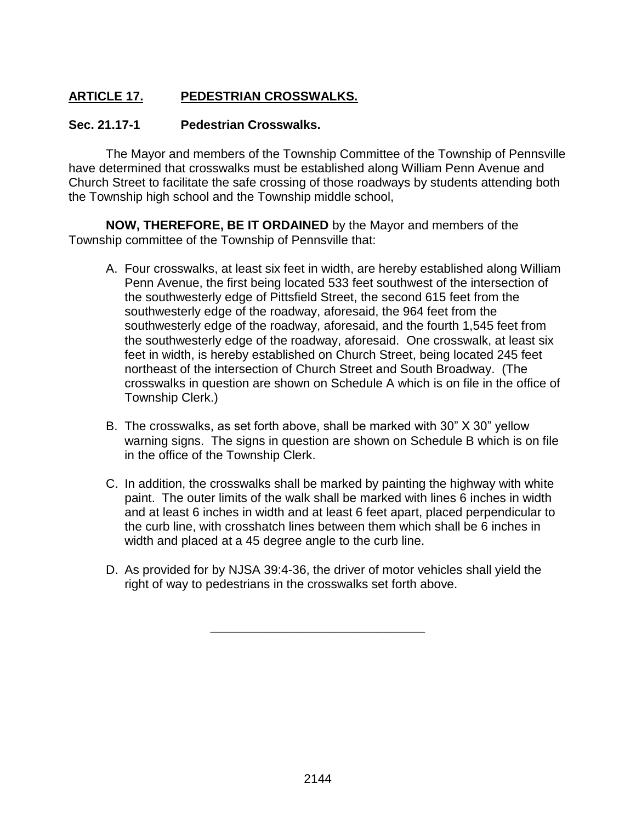## **ARTICLE 17. PEDESTRIAN CROSSWALKS.**

### **Sec. 21.17-1 Pedestrian Crosswalks.**

The Mayor and members of the Township Committee of the Township of Pennsville have determined that crosswalks must be established along William Penn Avenue and Church Street to facilitate the safe crossing of those roadways by students attending both the Township high school and the Township middle school,

**NOW, THEREFORE, BE IT ORDAINED** by the Mayor and members of the Township committee of the Township of Pennsville that:

- A. Four crosswalks, at least six feet in width, are hereby established along William Penn Avenue, the first being located 533 feet southwest of the intersection of the southwesterly edge of Pittsfield Street, the second 615 feet from the southwesterly edge of the roadway, aforesaid, the 964 feet from the southwesterly edge of the roadway, aforesaid, and the fourth 1,545 feet from the southwesterly edge of the roadway, aforesaid. One crosswalk, at least six feet in width, is hereby established on Church Street, being located 245 feet northeast of the intersection of Church Street and South Broadway. (The crosswalks in question are shown on Schedule A which is on file in the office of Township Clerk.)
- B. The crosswalks, as set forth above, shall be marked with 30" X 30" yellow warning signs. The signs in question are shown on Schedule B which is on file in the office of the Township Clerk.
- C. In addition, the crosswalks shall be marked by painting the highway with white paint. The outer limits of the walk shall be marked with lines 6 inches in width and at least 6 inches in width and at least 6 feet apart, placed perpendicular to the curb line, with crosshatch lines between them which shall be 6 inches in width and placed at a 45 degree angle to the curb line.
- D. As provided for by NJSA 39:4-36, the driver of motor vehicles shall yield the right of way to pedestrians in the crosswalks set forth above.

**\_\_\_\_\_\_\_\_\_\_\_\_\_\_\_\_\_\_\_\_\_\_\_\_\_\_\_\_\_\_\_**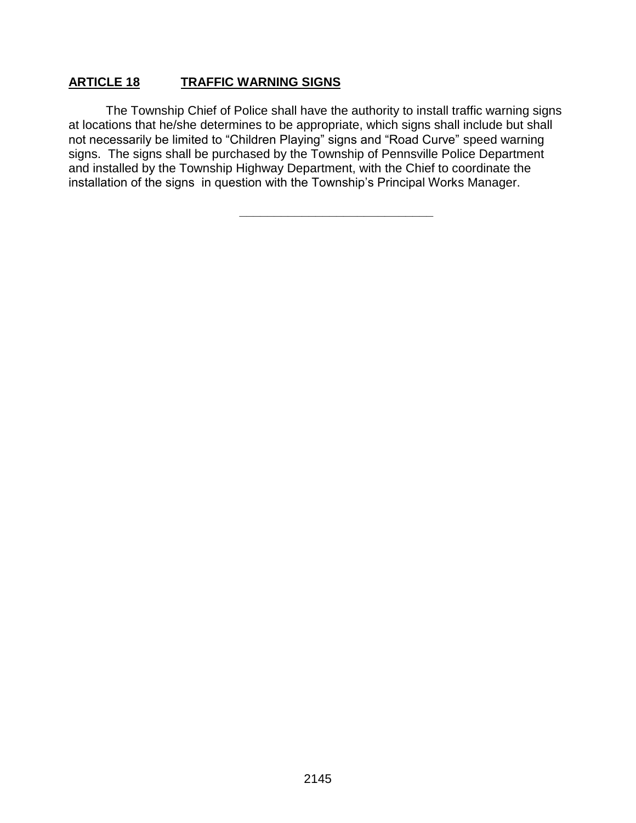### **ARTICLE 18 TRAFFIC WARNING SIGNS**

The Township Chief of Police shall have the authority to install traffic warning signs at locations that he/she determines to be appropriate, which signs shall include but shall not necessarily be limited to "Children Playing" signs and "Road Curve" speed warning signs. The signs shall be purchased by the Township of Pennsville Police Department and installed by the Township Highway Department, with the Chief to coordinate the installation of the signs in question with the Township's Principal Works Manager.

**\_\_\_\_\_\_\_\_\_\_\_\_\_\_\_\_\_\_\_\_\_\_\_\_\_\_\_\_**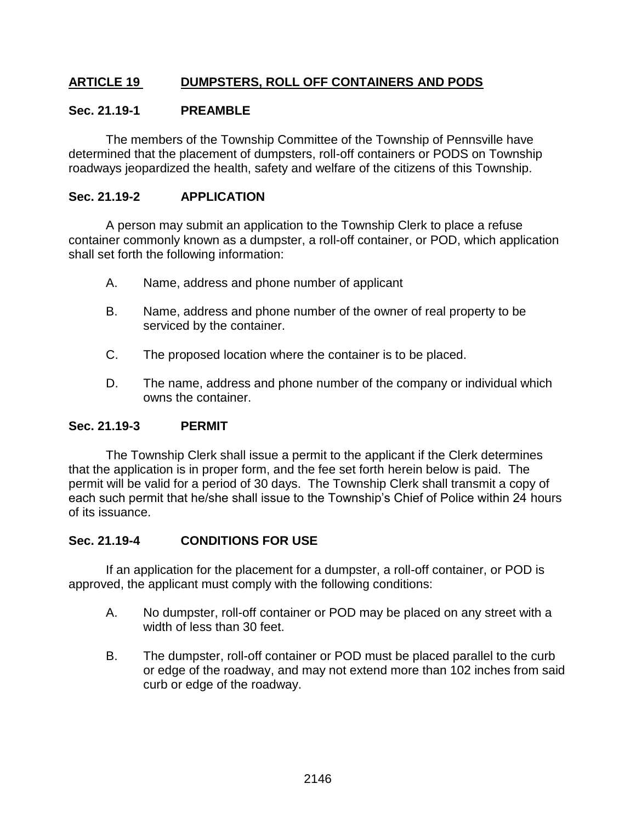### **ARTICLE 19 DUMPSTERS, ROLL OFF CONTAINERS AND PODS**

### **Sec. 21.19-1 PREAMBLE**

The members of the Township Committee of the Township of Pennsville have determined that the placement of dumpsters, roll-off containers or PODS on Township roadways jeopardized the health, safety and welfare of the citizens of this Township.

### **Sec. 21.19-2 APPLICATION**

A person may submit an application to the Township Clerk to place a refuse container commonly known as a dumpster, a roll-off container, or POD, which application shall set forth the following information:

- A. Name, address and phone number of applicant
- B. Name, address and phone number of the owner of real property to be serviced by the container.
- C. The proposed location where the container is to be placed.
- D. The name, address and phone number of the company or individual which owns the container.

### **Sec. 21.19-3 PERMIT**

The Township Clerk shall issue a permit to the applicant if the Clerk determines that the application is in proper form, and the fee set forth herein below is paid. The permit will be valid for a period of 30 days. The Township Clerk shall transmit a copy of each such permit that he/she shall issue to the Township's Chief of Police within 24 hours of its issuance.

### **Sec. 21.19-4 CONDITIONS FOR USE**

If an application for the placement for a dumpster, a roll-off container, or POD is approved, the applicant must comply with the following conditions:

- A. No dumpster, roll-off container or POD may be placed on any street with a width of less than 30 feet.
- B. The dumpster, roll-off container or POD must be placed parallel to the curb or edge of the roadway, and may not extend more than 102 inches from said curb or edge of the roadway.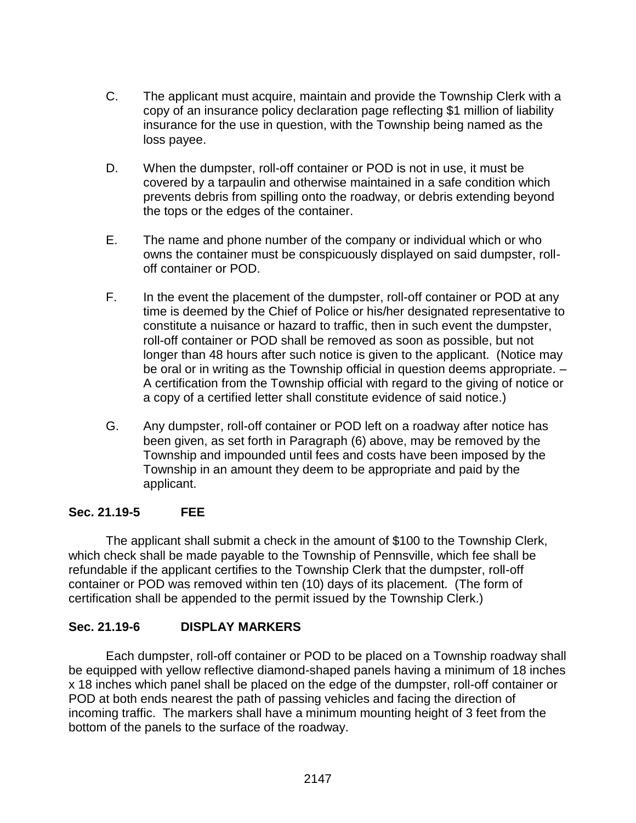- C. The applicant must acquire, maintain and provide the Township Clerk with a copy of an insurance policy declaration page reflecting \$1 million of liability insurance for the use in question, with the Township being named as the loss payee.
- D. When the dumpster, roll-off container or POD is not in use, it must be covered by a tarpaulin and otherwise maintained in a safe condition which prevents debris from spilling onto the roadway, or debris extending beyond the tops or the edges of the container.
- E. The name and phone number of the company or individual which or who owns the container must be conspicuously displayed on said dumpster, rolloff container or POD.
- F. In the event the placement of the dumpster, roll-off container or POD at any time is deemed by the Chief of Police or his/her designated representative to constitute a nuisance or hazard to traffic, then in such event the dumpster, roll-off container or POD shall be removed as soon as possible, but not longer than 48 hours after such notice is given to the applicant. (Notice may be oral or in writing as the Township official in question deems appropriate. – A certification from the Township official with regard to the giving of notice or a copy of a certified letter shall constitute evidence of said notice.)
- G. Any dumpster, roll-off container or POD left on a roadway after notice has been given, as set forth in Paragraph (6) above, may be removed by the Township and impounded until fees and costs have been imposed by the Township in an amount they deem to be appropriate and paid by the applicant.

### **Sec. 21.19-5 FEE**

The applicant shall submit a check in the amount of \$100 to the Township Clerk, which check shall be made payable to the Township of Pennsville, which fee shall be refundable if the applicant certifies to the Township Clerk that the dumpster, roll-off container or POD was removed within ten (10) days of its placement. (The form of certification shall be appended to the permit issued by the Township Clerk.)

### **Sec. 21.19-6 DISPLAY MARKERS**

Each dumpster, roll-off container or POD to be placed on a Township roadway shall be equipped with yellow reflective diamond-shaped panels having a minimum of 18 inches x 18 inches which panel shall be placed on the edge of the dumpster, roll-off container or POD at both ends nearest the path of passing vehicles and facing the direction of incoming traffic. The markers shall have a minimum mounting height of 3 feet from the bottom of the panels to the surface of the roadway.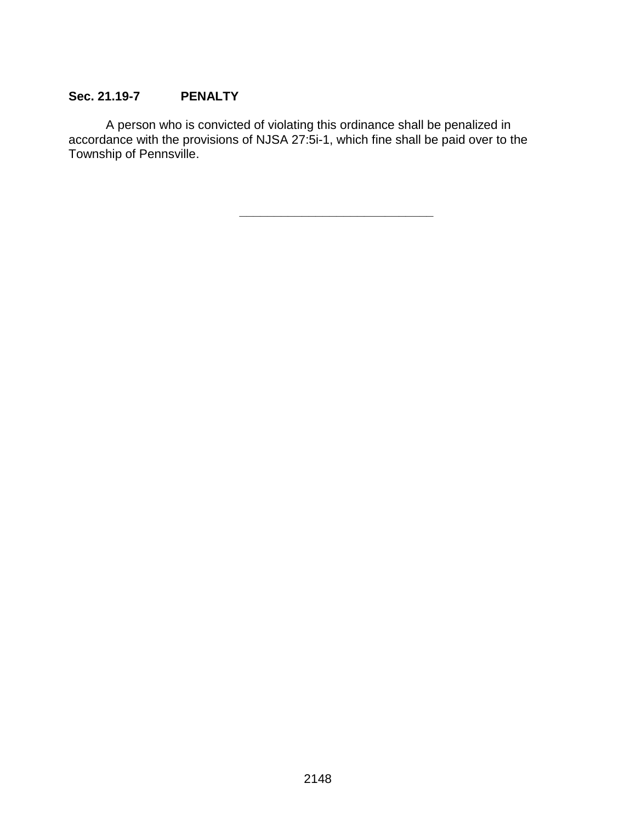## **Sec. 21.19-7 PENALTY**

A person who is convicted of violating this ordinance shall be penalized in accordance with the provisions of NJSA 27:5i-1, which fine shall be paid over to the Township of Pennsville.

**\_\_\_\_\_\_\_\_\_\_\_\_\_\_\_\_\_\_\_\_\_\_\_\_\_\_\_\_**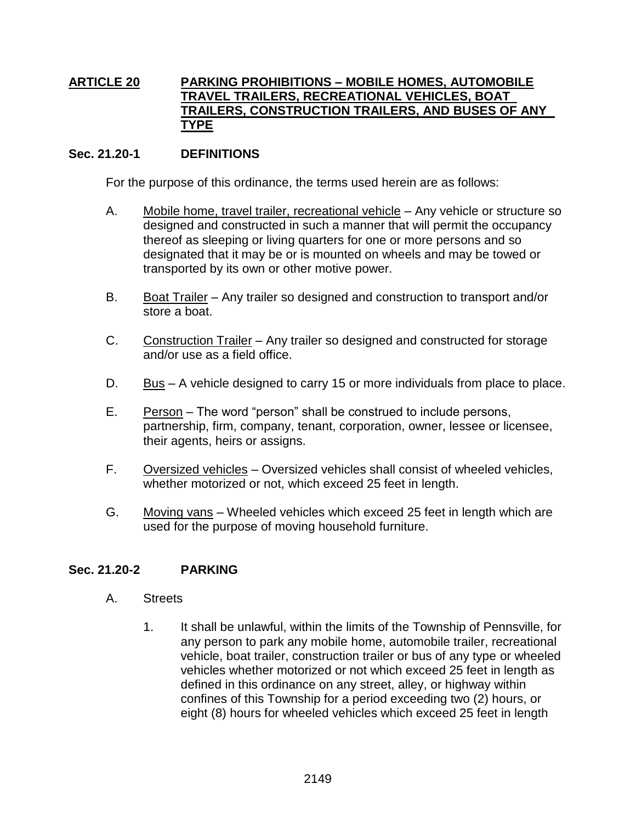### **ARTICLE 20 PARKING PROHIBITIONS – MOBILE HOMES, AUTOMOBILE TRAVEL TRAILERS, RECREATIONAL VEHICLES, BOAT TRAILERS, CONSTRUCTION TRAILERS, AND BUSES OF ANY TYPE**

### **Sec. 21.20-1 DEFINITIONS**

For the purpose of this ordinance, the terms used herein are as follows:

- A. Mobile home, travel trailer, recreational vehicle Any vehicle or structure so designed and constructed in such a manner that will permit the occupancy thereof as sleeping or living quarters for one or more persons and so designated that it may be or is mounted on wheels and may be towed or transported by its own or other motive power.
- B. Boat Trailer Any trailer so designed and construction to transport and/or store a boat.
- C. Construction Trailer Any trailer so designed and constructed for storage and/or use as a field office.
- D. Bus A vehicle designed to carry 15 or more individuals from place to place.
- E. Person The word "person" shall be construed to include persons, partnership, firm, company, tenant, corporation, owner, lessee or licensee, their agents, heirs or assigns.
- F. Oversized vehicles Oversized vehicles shall consist of wheeled vehicles, whether motorized or not, which exceed 25 feet in length.
- G. Moving vans Wheeled vehicles which exceed 25 feet in length which are used for the purpose of moving household furniture.

### **Sec. 21.20-2 PARKING**

- A. Streets
	- 1. It shall be unlawful, within the limits of the Township of Pennsville, for any person to park any mobile home, automobile trailer, recreational vehicle, boat trailer, construction trailer or bus of any type or wheeled vehicles whether motorized or not which exceed 25 feet in length as defined in this ordinance on any street, alley, or highway within confines of this Township for a period exceeding two (2) hours, or eight (8) hours for wheeled vehicles which exceed 25 feet in length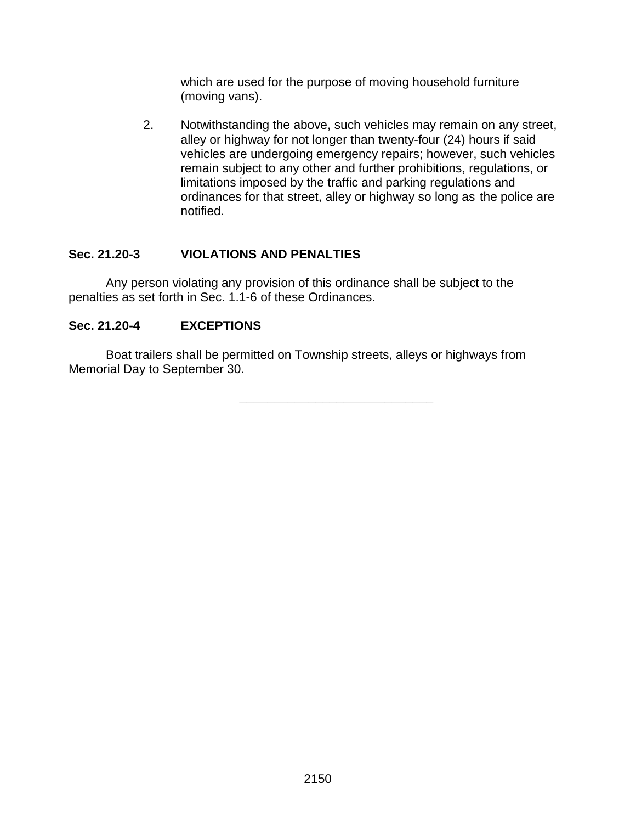which are used for the purpose of moving household furniture (moving vans).

2. Notwithstanding the above, such vehicles may remain on any street, alley or highway for not longer than twenty-four (24) hours if said vehicles are undergoing emergency repairs; however, such vehicles remain subject to any other and further prohibitions, regulations, or limitations imposed by the traffic and parking regulations and ordinances for that street, alley or highway so long as the police are notified.

### **Sec. 21.20-3 VIOLATIONS AND PENALTIES**

Any person violating any provision of this ordinance shall be subject to the penalties as set forth in Sec. 1.1-6 of these Ordinances.

## **Sec. 21.20-4 EXCEPTIONS**

Boat trailers shall be permitted on Township streets, alleys or highways from Memorial Day to September 30.

**\_\_\_\_\_\_\_\_\_\_\_\_\_\_\_\_\_\_\_\_\_\_\_\_\_\_\_\_**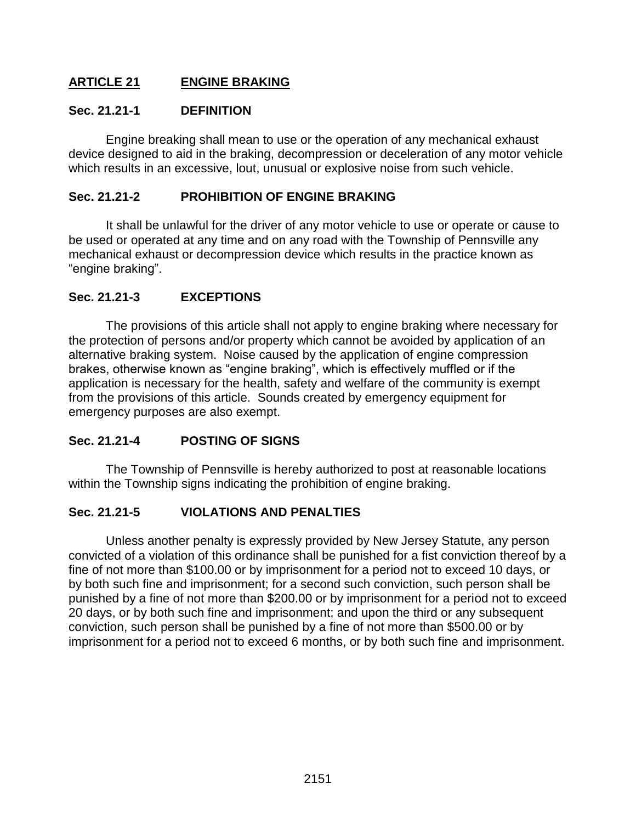### **ARTICLE 21 ENGINE BRAKING**

### **Sec. 21.21-1 DEFINITION**

Engine breaking shall mean to use or the operation of any mechanical exhaust device designed to aid in the braking, decompression or deceleration of any motor vehicle which results in an excessive, lout, unusual or explosive noise from such vehicle.

### **Sec. 21.21-2 PROHIBITION OF ENGINE BRAKING**

It shall be unlawful for the driver of any motor vehicle to use or operate or cause to be used or operated at any time and on any road with the Township of Pennsville any mechanical exhaust or decompression device which results in the practice known as "engine braking".

### **Sec. 21.21-3 EXCEPTIONS**

The provisions of this article shall not apply to engine braking where necessary for the protection of persons and/or property which cannot be avoided by application of an alternative braking system. Noise caused by the application of engine compression brakes, otherwise known as "engine braking", which is effectively muffled or if the application is necessary for the health, safety and welfare of the community is exempt from the provisions of this article. Sounds created by emergency equipment for emergency purposes are also exempt.

### **Sec. 21.21-4 POSTING OF SIGNS**

The Township of Pennsville is hereby authorized to post at reasonable locations within the Township signs indicating the prohibition of engine braking.

### **Sec. 21.21-5 VIOLATIONS AND PENALTIES**

Unless another penalty is expressly provided by New Jersey Statute, any person convicted of a violation of this ordinance shall be punished for a fist conviction thereof by a fine of not more than \$100.00 or by imprisonment for a period not to exceed 10 days, or by both such fine and imprisonment; for a second such conviction, such person shall be punished by a fine of not more than \$200.00 or by imprisonment for a period not to exceed 20 days, or by both such fine and imprisonment; and upon the third or any subsequent conviction, such person shall be punished by a fine of not more than \$500.00 or by imprisonment for a period not to exceed 6 months, or by both such fine and imprisonment.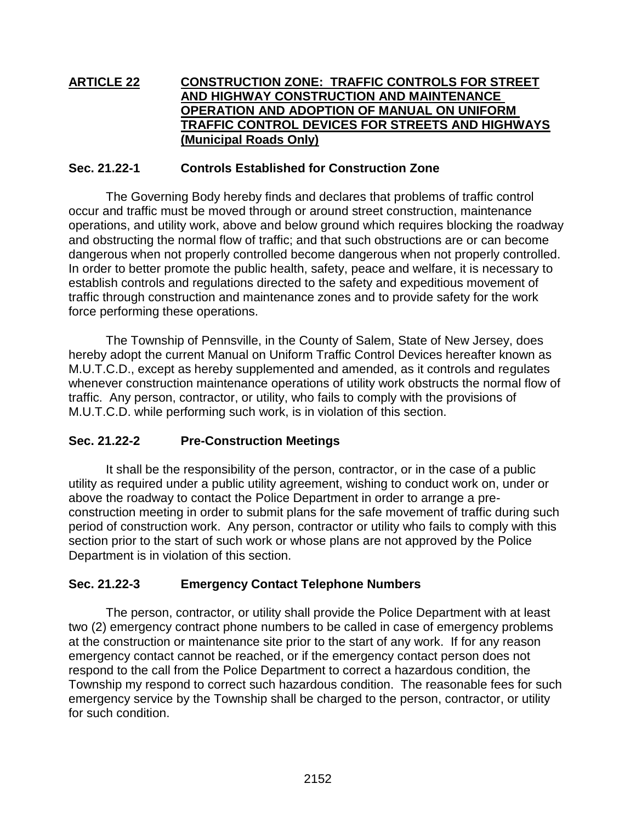### **ARTICLE 22 CONSTRUCTION ZONE: TRAFFIC CONTROLS FOR STREET AND HIGHWAY CONSTRUCTION AND MAINTENANCE OPERATION AND ADOPTION OF MANUAL ON UNIFORM TRAFFIC CONTROL DEVICES FOR STREETS AND HIGHWAYS (Municipal Roads Only)**

### **Sec. 21.22-1 Controls Established for Construction Zone**

The Governing Body hereby finds and declares that problems of traffic control occur and traffic must be moved through or around street construction, maintenance operations, and utility work, above and below ground which requires blocking the roadway and obstructing the normal flow of traffic; and that such obstructions are or can become dangerous when not properly controlled become dangerous when not properly controlled. In order to better promote the public health, safety, peace and welfare, it is necessary to establish controls and regulations directed to the safety and expeditious movement of traffic through construction and maintenance zones and to provide safety for the work force performing these operations.

The Township of Pennsville, in the County of Salem, State of New Jersey, does hereby adopt the current Manual on Uniform Traffic Control Devices hereafter known as M.U.T.C.D., except as hereby supplemented and amended, as it controls and regulates whenever construction maintenance operations of utility work obstructs the normal flow of traffic. Any person, contractor, or utility, who fails to comply with the provisions of M.U.T.C.D. while performing such work, is in violation of this section.

### **Sec. 21.22-2 Pre-Construction Meetings**

It shall be the responsibility of the person, contractor, or in the case of a public utility as required under a public utility agreement, wishing to conduct work on, under or above the roadway to contact the Police Department in order to arrange a preconstruction meeting in order to submit plans for the safe movement of traffic during such period of construction work. Any person, contractor or utility who fails to comply with this section prior to the start of such work or whose plans are not approved by the Police Department is in violation of this section.

### **Sec. 21.22-3 Emergency Contact Telephone Numbers**

The person, contractor, or utility shall provide the Police Department with at least two (2) emergency contract phone numbers to be called in case of emergency problems at the construction or maintenance site prior to the start of any work. If for any reason emergency contact cannot be reached, or if the emergency contact person does not respond to the call from the Police Department to correct a hazardous condition, the Township my respond to correct such hazardous condition. The reasonable fees for such emergency service by the Township shall be charged to the person, contractor, or utility for such condition.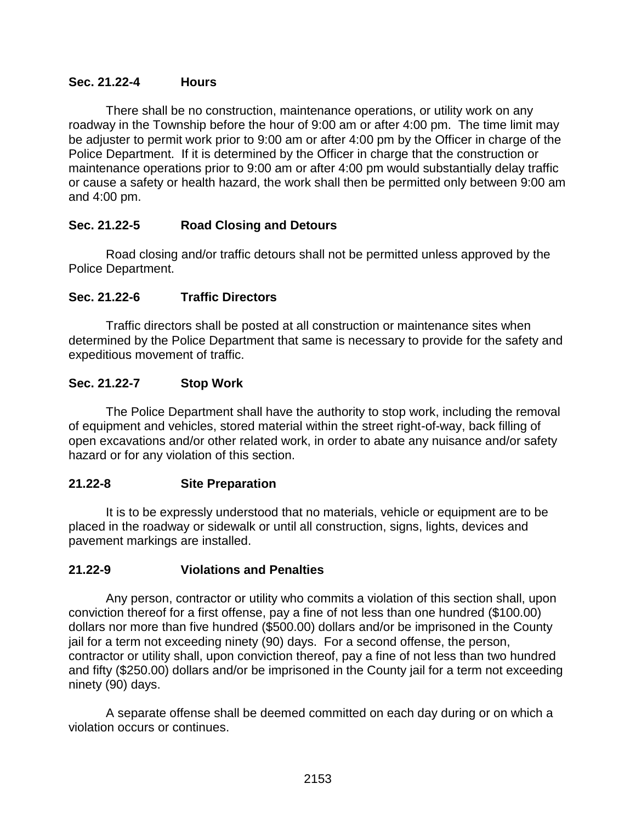### **Sec. 21.22-4 Hours**

There shall be no construction, maintenance operations, or utility work on any roadway in the Township before the hour of 9:00 am or after 4:00 pm. The time limit may be adjuster to permit work prior to 9:00 am or after 4:00 pm by the Officer in charge of the Police Department. If it is determined by the Officer in charge that the construction or maintenance operations prior to 9:00 am or after 4:00 pm would substantially delay traffic or cause a safety or health hazard, the work shall then be permitted only between 9:00 am and 4:00 pm.

### **Sec. 21.22-5 Road Closing and Detours**

Road closing and/or traffic detours shall not be permitted unless approved by the Police Department.

### **Sec. 21.22-6 Traffic Directors**

Traffic directors shall be posted at all construction or maintenance sites when determined by the Police Department that same is necessary to provide for the safety and expeditious movement of traffic.

### **Sec. 21.22-7 Stop Work**

The Police Department shall have the authority to stop work, including the removal of equipment and vehicles, stored material within the street right-of-way, back filling of open excavations and/or other related work, in order to abate any nuisance and/or safety hazard or for any violation of this section.

### **21.22-8 Site Preparation**

It is to be expressly understood that no materials, vehicle or equipment are to be placed in the roadway or sidewalk or until all construction, signs, lights, devices and pavement markings are installed.

### **21.22-9 Violations and Penalties**

Any person, contractor or utility who commits a violation of this section shall, upon conviction thereof for a first offense, pay a fine of not less than one hundred (\$100.00) dollars nor more than five hundred (\$500.00) dollars and/or be imprisoned in the County jail for a term not exceeding ninety (90) days. For a second offense, the person, contractor or utility shall, upon conviction thereof, pay a fine of not less than two hundred and fifty (\$250.00) dollars and/or be imprisoned in the County jail for a term not exceeding ninety (90) days.

A separate offense shall be deemed committed on each day during or on which a violation occurs or continues.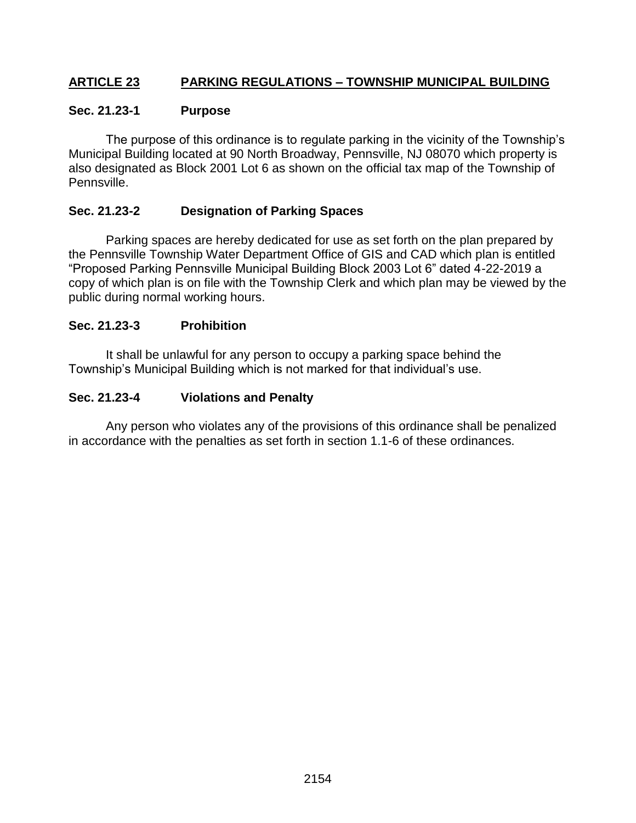### **ARTICLE 23 PARKING REGULATIONS – TOWNSHIP MUNICIPAL BUILDING**

### **Sec. 21.23-1 Purpose**

The purpose of this ordinance is to regulate parking in the vicinity of the Township's Municipal Building located at 90 North Broadway, Pennsville, NJ 08070 which property is also designated as Block 2001 Lot 6 as shown on the official tax map of the Township of Pennsville.

### **Sec. 21.23-2 Designation of Parking Spaces**

Parking spaces are hereby dedicated for use as set forth on the plan prepared by the Pennsville Township Water Department Office of GIS and CAD which plan is entitled "Proposed Parking Pennsville Municipal Building Block 2003 Lot 6" dated 4-22-2019 a copy of which plan is on file with the Township Clerk and which plan may be viewed by the public during normal working hours.

### **Sec. 21.23-3 Prohibition**

It shall be unlawful for any person to occupy a parking space behind the Township's Municipal Building which is not marked for that individual's use.

### **Sec. 21.23-4 Violations and Penalty**

Any person who violates any of the provisions of this ordinance shall be penalized in accordance with the penalties as set forth in section 1.1-6 of these ordinances.